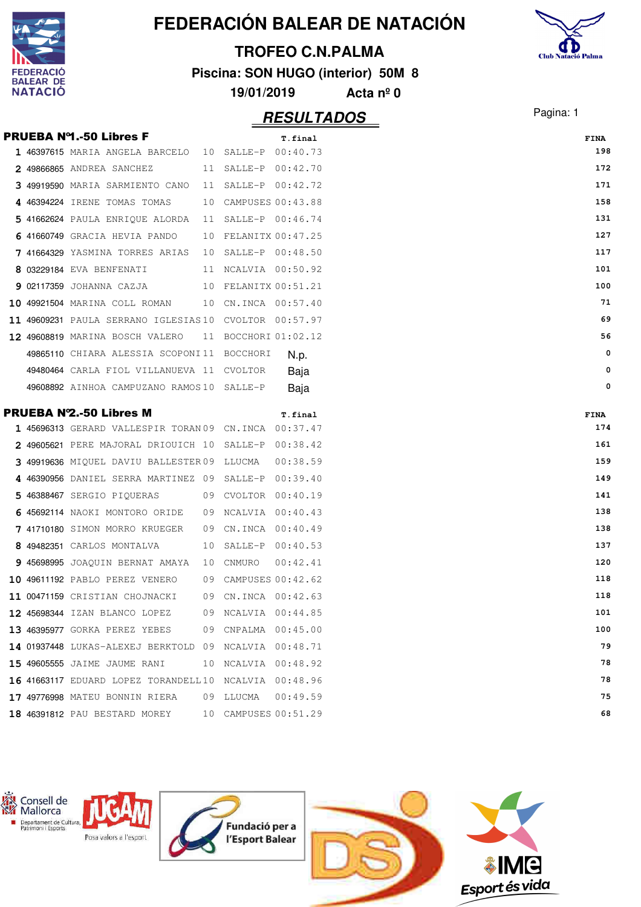|    |                          |                                                        |    |                      |                         | FEDERACIÓN BALEAR DE NATACIÓN      |                           |
|----|--------------------------|--------------------------------------------------------|----|----------------------|-------------------------|------------------------------------|---------------------------|
|    |                          |                                                        |    |                      | <b>TROFEO C.N.PALMA</b> |                                    | <b>Club Natació Palma</b> |
|    |                          |                                                        |    |                      |                         | Piscina: SON HUGO (interior) 50M 8 |                           |
|    | <b>EAR DE</b><br>NATACIO |                                                        |    | 19/01/2019           |                         |                                    |                           |
|    |                          |                                                        |    |                      |                         | Acta $n^{\circ}$ 0                 |                           |
|    |                          |                                                        |    |                      | <u>RESULTADOS</u>       |                                    | Pagina: 1                 |
|    |                          | <b>PRUEBA Nº1.-50 Libres F</b>                         |    |                      | T.final                 |                                    | <b>FINA</b>               |
|    |                          | 1 46397615 MARIA ANGELA BARCELO                        | 10 | SALLE-P              | 00:40.73                |                                    | 198                       |
|    |                          | 49866865 ANDREA SANCHEZ                                | 11 | SALLE-P              | 00:42.70                |                                    | 172                       |
|    |                          | 3 49919590 MARIA SARMIENTO CANO                        | 11 | SALLE-P 00:42.72     |                         |                                    | 171                       |
|    |                          | 4 46394224 IRENE TOMAS TOMAS                           | 10 | CAMPUSES 00:43.88    |                         |                                    | 158                       |
|    |                          | 5 41662624 PAULA ENRIQUE ALORDA                        | 11 | SALLE-P 00:46.74     |                         |                                    | 131                       |
|    |                          | 6 41660749 GRACIA HEVIA PANDO                          | 10 | FELANITX 00:47.25    |                         |                                    | 127                       |
|    |                          | 7 41664329 YASMINA TORRES ARIAS                        | 10 | SALLE-P 00:48.50     |                         |                                    | 117                       |
|    |                          | 03229184 EVA BENFENATI                                 |    | 11 NCALVIA 00:50.92  |                         |                                    | 101                       |
| 9  |                          | 02117359 JOHANNA CAZJA                                 | 10 | FELANITX 00:51.21    |                         |                                    | 100                       |
| 10 |                          | 49921504 MARINA COLL ROMAN                             | 10 | CN.INCA 00:57.40     |                         |                                    | 71                        |
|    |                          | 11 49609231 PAULA SERRANO IGLESIAS 10                  |    | CVOLTOR 00:57.97     |                         |                                    | 69                        |
|    |                          | 12 49608819 MARINA BOSCH VALERO                        |    | 11 BOCCHORI 01:02.12 |                         |                                    | 56                        |
|    |                          | 49865110 CHIARA ALESSIA SCOPONI11 BOCCHORI             |    |                      | N.p.                    |                                    | 0                         |
|    |                          | 49480464 CARLA FIOL VILLANUEVA 11 CVOLTOR              |    |                      | Baja                    |                                    | 0                         |
|    |                          | 49608892 AINHOA CAMPUZANO RAMOS10 SALLE-P              |    |                      | Baja                    |                                    | 0                         |
|    |                          | <b>PRUEBA Nº2.-50 Libres M</b>                         |    |                      |                         |                                    |                           |
|    |                          | 1 45696313 GERARD VALLESPIR TORAN 09 CN.INCA           |    |                      | T.final<br>00:37.47     |                                    | <b>FINA</b><br>174        |
|    |                          | 2 49605621 PERE MAJORAL DRIOUICH 10                    |    | SALLE-P              | 00:38.42                |                                    | 161                       |
|    |                          | 49919636 MIQUEL DAVIU BALLESTER 09                     |    | LLUCMA               | 00:38.59                |                                    | 159                       |
|    |                          | 4 46390956 DANIEL SERRA MARTINEZ 09                    |    | SALLE-P              | 00:39.40                |                                    | 149                       |
|    |                          | 5 46388467 SERGIO PIQUERAS                             |    | 09 CVOLTOR 00:40.19  |                         |                                    | 141                       |
|    |                          | 6 45692114 NAOKI MONTORO ORIDE                         |    | 09 NCALVIA 00:40.43  |                         |                                    | 138                       |
|    |                          | 7 41710180 SIMON MORRO KRUEGER                         | 09 | CN.INCA 00:40.49     |                         |                                    | 138                       |
|    |                          | 8 49482351 CARLOS MONTALVA                             | 10 | SALLE-P 00:40.53     |                         |                                    | 137                       |
|    |                          | 9 45698995 JOAQUIN BERNAT AMAYA                        | 10 | CNMURO               | 00:42.41                |                                    | 120                       |
|    |                          | 10 49611192 PABLO PEREZ VENERO                         |    | 09 CAMPUSES 00:42.62 |                         |                                    | 118                       |
|    |                          | 11 00471159 CRISTIAN CHOJNACKI                         | 09 | CN.INCA 00:42.63     |                         |                                    | 118                       |
|    |                          | 12 45698344 IZAN BLANCO LOPEZ                          | 09 | NCALVIA 00:44.85     |                         |                                    | 101                       |
|    |                          | 13 46395977 GORKA PEREZ YEBES                          | 09 | CNPALMA 00:45.00     |                         |                                    | 100                       |
|    |                          | 14 01937448 LUKAS-ALEXEJ BERKTOLD 09                   |    | NCALVIA 00:48.71     |                         |                                    | 79                        |
|    |                          | 15 49605555 JAIME JAUME RANI                           |    | 10 NCALVIA 00:48.92  |                         |                                    | 78                        |
|    |                          | 16 41663117 EDUARD LOPEZ TORANDELL 10 NCALVIA 00:48.96 |    |                      |                         |                                    | 78                        |
|    |                          | 17 49776998 MATEU BONNIN RIERA                         |    | 09 LLUCMA            | 00:49.59                |                                    | 75                        |
|    |                          | 18 46391812 PAU BESTARD MOREY                          |    | 10 CAMPUSES 00:51.29 |                         |                                    | 68                        |
|    |                          |                                                        |    |                      |                         |                                    |                           |

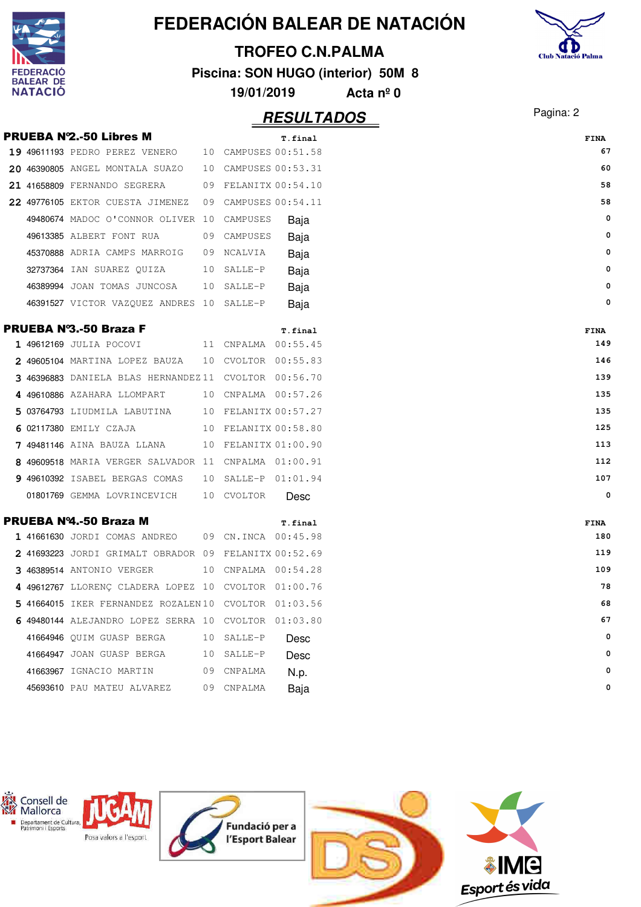|     |                          |                                                       |    |                      |                         | FEDERACIÓN BALEAR DE NATACIÓN      |                           |
|-----|--------------------------|-------------------------------------------------------|----|----------------------|-------------------------|------------------------------------|---------------------------|
|     |                          |                                                       |    |                      | <b>TROFEO C.N.PALMA</b> |                                    | <b>Club Natació Palma</b> |
|     | <b>ERACIO</b>            |                                                       |    |                      |                         | Piscina: SON HUGO (interior) 50M 8 |                           |
|     | <b>EAR DE</b><br>NATACIO |                                                       |    | 19/01/2019           |                         | Acta $n^{\circ}$ 0                 |                           |
|     |                          |                                                       |    |                      |                         |                                    | Pagina: 2                 |
|     |                          |                                                       |    |                      | <b>RESULTADOS</b>       |                                    |                           |
|     |                          | <b>PRUEBA Nº2.-50 Libres M</b>                        |    |                      | T.final                 |                                    | <b>FINA</b>               |
|     |                          | 19 49611193 PEDRO PEREZ VENERO                        | 10 |                      | CAMPUSES 00:51.58       |                                    | 67                        |
| 20. |                          | 46390805 ANGEL MONTALA SUAZO                          | 10 |                      | CAMPUSES 00:53.31       |                                    | 60                        |
|     |                          | 21 41658809 FERNANDO SEGRERA                          | 09 |                      | FELANITX 00:54.10       |                                    | 58                        |
|     |                          | 22 49776105 EKTOR CUESTA JIMENEZ                      | 09 |                      | CAMPUSES 00:54.11       |                                    | 58                        |
|     |                          | 49480674 MADOC O'CONNOR OLIVER 10                     |    | CAMPUSES             | Baja                    |                                    | 0                         |
|     |                          | 49613385 ALBERT FONT RUA                              | 09 | CAMPUSES             | Baja                    |                                    | 0                         |
|     |                          | 45370888 ADRIA CAMPS MARROIG                          | 09 | <b>NCALVIA</b>       | Baja                    |                                    | 0                         |
|     |                          | 32737364 IAN SUAREZ OUIZA                             | 10 | SALLE-P              | Baja                    |                                    | 0                         |
|     |                          | 46389994 JOAN TOMAS JUNCOSA                           | 10 | SALLE-P              | Baja                    |                                    | 0                         |
|     |                          | 46391527 VICTOR VAZQUEZ ANDRES 10                     |    | SALLE-P              | Baja                    |                                    | 0                         |
|     |                          | <b>PRUEBA Nº3.-50 Braza F</b>                         |    |                      | T.final                 |                                    | <b>FINA</b>               |
|     |                          | 1 49612169 JULIA POCOVI                               | 11 |                      | CNPALMA 00:55.45        |                                    | 149                       |
|     |                          | 2 49605104 MARTINA LOPEZ BAUZA                        | 10 |                      | CVOLTOR 00:55.83        |                                    | 146                       |
|     |                          | 46396883 DANIELA BLAS HERNANDEZ 11                    |    |                      | CVOLTOR 00:56.70        |                                    | 139                       |
|     |                          | 49610886 AZAHARA LLOMPART                             | 10 |                      | CNPALMA 00:57.26        |                                    | 135                       |
|     |                          | 03764793 LIUDMILA LABUTINA                            |    | 10 FELANITX 00:57.27 |                         |                                    | 135                       |
|     |                          | 6 02117380 EMILY CZAJA                                |    | 10 FELANITX 00:58.80 |                         |                                    | 125                       |
|     |                          | <b>7 49481146</b> AINA BAUZA LLANA                    |    | 10 FELANITX 01:00.90 |                         |                                    | 113                       |
|     |                          | 49609518 MARIA VERGER SALVADOR 11                     |    |                      | CNPALMA 01:00.91        |                                    | 112                       |
|     |                          | 9 49610392 ISABEL BERGAS COMAS                        | 10 |                      | SALLE-P 01:01.94        |                                    | 107                       |
|     |                          | 01801769 GEMMA LOVRINCEVICH 10 CVOLTOR                |    |                      | Desc                    |                                    | 0                         |
|     |                          | <b>PRUEBA Nº4.-50 Braza M</b>                         |    |                      | T.final                 |                                    | FINA                      |
|     |                          | 1 41661630 JORDI COMAS ANDREO 09 CN.INCA 00:45.98     |    |                      |                         |                                    | 180                       |
|     |                          | 2 41693223 JORDI GRIMALT OBRADOR 09 FELANITX 00:52.69 |    |                      |                         |                                    | 119                       |
|     |                          | 3 46389514 ANTONIO VERGER                             |    | 10 CNPALMA 00:54.28  |                         |                                    | 109                       |
|     |                          | 4 49612767 LLORENÇ CLADERA LOPEZ 10 CVOLTOR 01:00.76  |    |                      |                         |                                    | 78                        |
|     |                          | 5 41664015 IKER FERNANDEZ ROZALEN10 CVOLTOR 01:03.56  |    |                      |                         |                                    | 68                        |
|     |                          | 6 49480144 ALEJANDRO LOPEZ SERRA 10 CVOLTOR 01:03.80  |    |                      |                         |                                    | 67                        |
|     |                          | 41664946 QUIM GUASP BERGA                             |    | 10 SALLE-P           | Desc                    |                                    | 0                         |
|     |                          | 41664947 JOAN GUASP BERGA                             |    | 10 SALLE-P           | Desc                    |                                    | 0                         |
|     |                          | 41663967 IGNACIO MARTIN                               |    | 09 CNPALMA           | N.p.                    |                                    | 0                         |
|     |                          | 45693610 PAU MATEU ALVAREZ                            |    | 09 CNPALMA           | Baja                    |                                    | 0                         |
|     |                          |                                                       |    |                      |                         |                                    |                           |

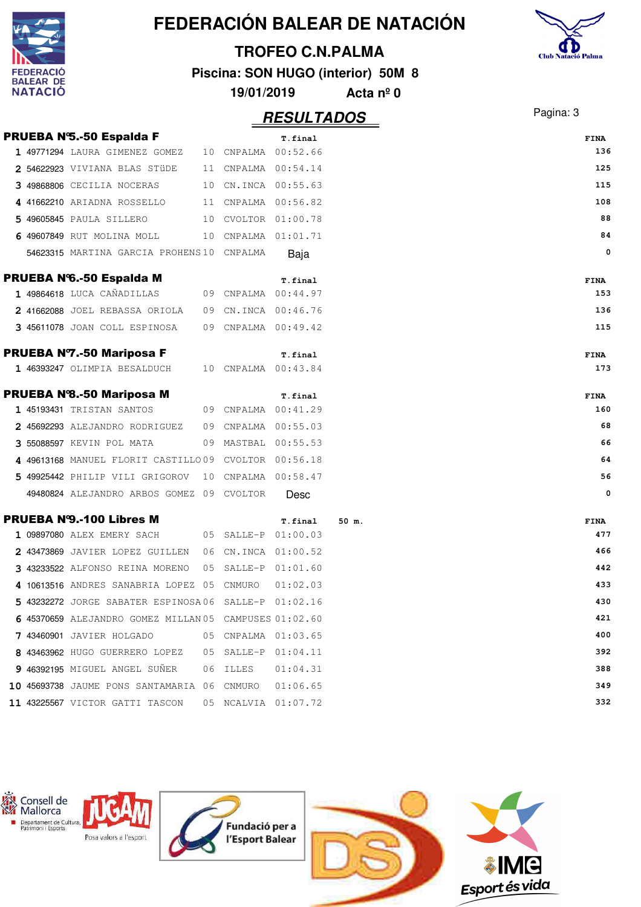|                                    |                                                        |    |            |                             | FEDERACIÓN BALEAR DE NATACIÓN      |                           |
|------------------------------------|--------------------------------------------------------|----|------------|-----------------------------|------------------------------------|---------------------------|
|                                    |                                                        |    |            | <b>TROFEO C.N.PALMA</b>     |                                    |                           |
| <b>DERACIO</b>                     |                                                        |    |            |                             | Piscina: SON HUGO (interior) 50M 8 | <b>Club Natació Palma</b> |
| <b>BALEAR DE</b><br><b>NATACIO</b> |                                                        |    | 19/01/2019 |                             | Acta $n^{\circ}$ 0                 |                           |
|                                    |                                                        |    |            | <b>RESULTADOS</b>           |                                    | Pagina: 3                 |
|                                    | <b>PRUEBA N'S.-50 Espalda F</b>                        |    |            |                             |                                    |                           |
|                                    | 1 49771294 LAURA GIMENEZ GOMEZ                         | 10 |            | T.final<br>CNPALMA 00:52.66 |                                    | <b>FINA</b><br>136        |
|                                    | 2 54622923 VIVIANA BLAS STÜDE                          | 11 |            | CNPALMA  00:54.14           |                                    | 125                       |
|                                    | 3 49868806 CECILIA NOCERAS                             | 10 |            | CN.INCA 00:55.63            |                                    | 115                       |
|                                    | 4 41662210 ARIADNA ROSSELLO                            |    |            | 11 CNPALMA 00:56.82         |                                    | 108                       |
|                                    | 5 49605845 PAULA SILLERO                               | 10 |            | CVOLTOR 01:00.78            |                                    | 88                        |
|                                    | 6 49607849 RUT MOLINA MOLL                             |    |            | 10 CNPALMA 01:01.71         |                                    | 84                        |
|                                    | 54623315 MARTINA GARCIA PROHENS 10 CNPALMA             |    |            | Baja                        |                                    | 0                         |
|                                    | <b>PRUEBA N'6.-50 Espalda M</b>                        |    |            | T.final                     |                                    | <b>FINA</b>               |
|                                    | 1 49864618 LUCA CAÑADILLAS                             |    |            | 09 CNPALMA 00:44.97         |                                    | 153                       |
|                                    | 2 41662088 JOEL REBASSA ORIOLA                         | 09 |            | CN.INCA 00:46.76            |                                    | 136                       |
|                                    | 3 45611078 JOAN COLL ESPINOSA                          |    |            | 09 CNPALMA 00:49.42         |                                    | 115                       |
|                                    | <b>PRUEBA Nº7.-50 Mariposa F</b>                       |    |            | T.final                     |                                    | <b>FINA</b>               |
|                                    | 1 46393247 OLIMPIA BESALDUCH                           |    |            | 10 CNPALMA 00:43.84         |                                    | 173                       |
|                                    | <b>PRUEBA Nº8.-50 Mariposa M</b>                       |    |            | T.final                     |                                    | <b>FINA</b>               |
|                                    | 1 45193431 TRISTAN SANTOS                              |    |            | 09 CNPALMA 00:41.29         |                                    | 160                       |
|                                    | 2 45692293 ALEJANDRO RODRIGUEZ                         | 09 |            | CNPALMA  00:55.03           |                                    | 68                        |
|                                    | 3 55088597 KEVIN POL MATA                              |    |            | 09 MASTBAL 00:55.53         |                                    | 66                        |
|                                    | 4 49613168 MANUEL FLORIT CASTILLO09 CVOLTOR 00:56.18   |    |            |                             |                                    | 64                        |
|                                    | 5 49925442 PHILIP VILI GRIGOROV                        |    |            | 10 CNPALMA 00:58.47         |                                    | 56                        |
|                                    | 49480824 ALEJANDRO ARBOS GOMEZ 09 CVOLTOR              |    |            | Desc                        |                                    |                           |
|                                    | <b>PRUEBA N'9.-100 Libres M</b>                        |    |            | T.final                     | 50 m.                              | FINA                      |
|                                    | 1 09897080 ALEX EMERY SACH                             |    |            | 05 SALLE-P 01:00.03         |                                    | 477                       |
|                                    | 2 43473869 JAVIER LOPEZ GUILLEN                        |    |            | 06 CN.INCA 01:00.52         |                                    | 466                       |
|                                    | 3 43233522 ALFONSO REINA MORENO                        |    |            | 05 SALLE-P 01:01.60         |                                    | 442                       |
|                                    | 4 10613516 ANDRES SANABRIA LOPEZ 05 CNMURO             |    |            | 01:02.03                    |                                    | 433                       |
|                                    | 5 43232272 JORGE SABATER ESPINOSA06 SALLE-P 01:02.16   |    |            |                             |                                    | 430                       |
|                                    | 6 45370659 ALEJANDRO GOMEZ MILLAN 05 CAMPUSES 01:02.60 |    |            |                             |                                    | 421                       |
|                                    | 7 43460901 JAVIER HOLGADO                              |    |            | 05 CNPALMA 01:03.65         |                                    | 400                       |
|                                    | 8 43463962 HUGO GUERRERO LOPEZ                         | 05 |            | SALLE-P 01:04.11            |                                    | 392                       |
|                                    | 9 46392195 MIGUEL ANGEL SUNER                          |    | 06 ILLES   | 01:04.31                    |                                    | 388                       |
|                                    | 10 45693738 JAUME PONS SANTAMARIA 06 CNMURO            |    |            | 01:06.65                    |                                    | 349                       |
|                                    | 11 43225567 VICTOR GATTI TASCON                        |    |            | 05 NCALVIA 01:07.72         |                                    | 332                       |

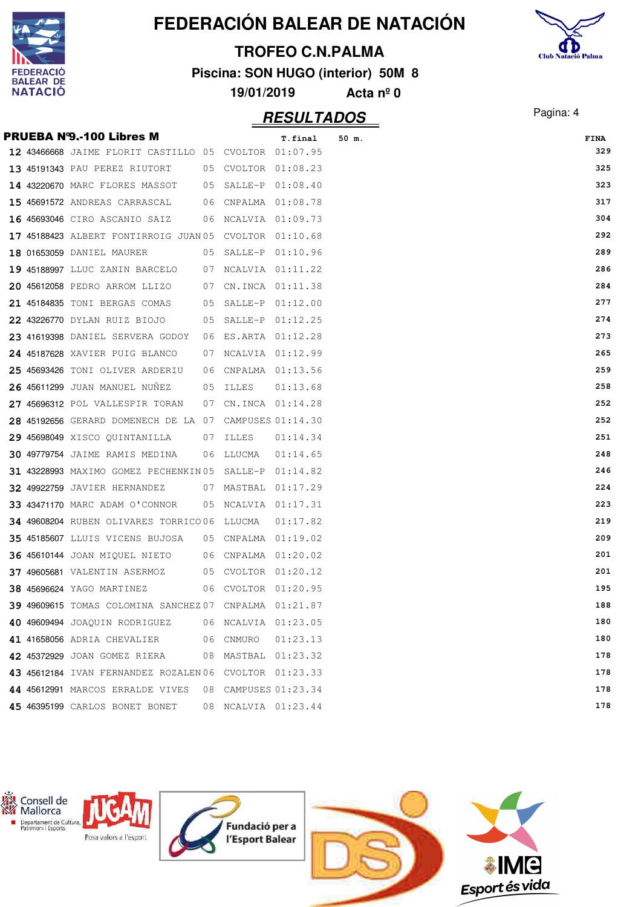





|  |                                                        |  |          | <b>FINA</b> |
|--|--------------------------------------------------------|--|----------|-------------|
|  | 12 43466668 JAIME FLORIT CASTILLO 05 CVOLTOR 01:07.95  |  |          | 329         |
|  | 13 45191343 PAU PEREZ RIUTORT 05 CVOLTOR 01:08.23      |  |          | 325         |
|  | 14 43220670 MARC FLORES MASSOT 05 SALLE-P 01:08.40     |  |          | 323         |
|  | 15 45691572 ANDREAS CARRASCAL 06 CNPALMA 01:08.78      |  |          | 317         |
|  | 16 45693046 CIRO ASCANIO SAIZ 06 NCALVIA 01:09.73      |  |          | 304         |
|  | 17 45188423 ALBERT FONTIRROIG JUAN 05 CVOLTOR 01:10.68 |  |          | 292         |
|  | 18 01653059 DANIEL MAURER 05 SALLE-P 01:10.96          |  |          | 289         |
|  | 19 45188997 LLUC ZANIN BARCELO 07 NCALVIA 01:11.22     |  |          | 286         |
|  | 20 45612058 PEDRO ARROM LLIZO 07 CN.INCA 01:11.38      |  |          | 284         |
|  | 21 45184835 TONI BERGAS COMAS 05 SALLE-P 01:12.00      |  |          | 277         |
|  | 22 43226770 DYLAN RUIZ BIOJO 65 SALLE-P 01:12.25       |  |          | 274         |
|  | 23 41619398 DANIEL SERVERA GODOY 06 ES.ARTA 01:12.28   |  |          | 273         |
|  | 24 45187628 XAVIER PUIG BLANCO 07 NCALVIA 01:12.99     |  |          | 265         |
|  | 25 45693426 TONI OLIVER ARDERIU 06 CNPALMA 01:13.56    |  |          | 259         |
|  | 26 45611299 JUAN MANUEL NUÑEZ 05 ILLES                 |  | 01:13.68 | 258         |
|  | 27 45696312 POL VALLESPIR TORAN 07 CN.INCA 01:14.28    |  |          | 252         |
|  | 28 45192656 GERARD DOMENECH DE LA 07 CAMPUSES 01:14.30 |  |          | 252         |
|  | 29 45698049 XISCO OUINTANILLA 07 ILLES                 |  | 01:14.34 | 251         |
|  | 30 49779754 JAIME RAMIS MEDINA 06 LLUCMA 01:14.65      |  |          | 248         |
|  | 31 43228993 MAXIMO GOMEZ PECHENKIN05 SALLE-P 01:14.82  |  |          | 246         |
|  | 32 49922759 JAVIER HERNANDEZ 07 MASTBAL 01:17.29       |  |          | 224         |
|  | 33 43471170 MARC ADAM O'CONNOR 05 NCALVIA 01:17.31     |  |          | 223         |
|  | 34 49608204 RUBEN OLIVARES TORRICO06 LLUCMA  01:17.82  |  |          | 219         |
|  | 35 45185607 LLUIS VICENS BUJOSA 05 CNPALMA 01:19.02    |  |          | 209         |
|  | 36 45610144 JOAN MIQUEL NIETO 06 CNPALMA 01:20.02      |  |          | 201         |
|  | 37 49605681 VALENTIN ASERMOZ 05 CVOLTOR 01:20.12       |  |          | 201         |
|  | 38 45696624 YAGO MARTINEZ 06 CVOLTOR 01:20.95          |  |          | 195         |
|  | 39 49609615 TOMAS COLOMINA SANCHEZ 07 CNPALMA 01:21.87 |  |          | 188         |
|  | 40 49609494 JOAQUIN RODRIGUEZ 06 NCALVIA 01:23.05      |  |          | 180         |
|  | 41 41658056 ADRIA CHEVALIER 06 CNMURO 01:23.13         |  |          | 180         |
|  | 42 45372929 JOAN GOMEZ RIERA 08 MASTBAL 01:23.32       |  |          | 178         |
|  | 43 45612184 IVAN FERNANDEZ ROZALEN06 CVOLTOR 01:23.33  |  |          | 178         |
|  | 44 45612991 MARCOS ERRALDE VIVES 08 CAMPUSES 01:23.34  |  |          | 178         |
|  | 45 46395199 CARLOS BONET BONET 08 NCALVIA 01:23.44     |  |          | 178         |

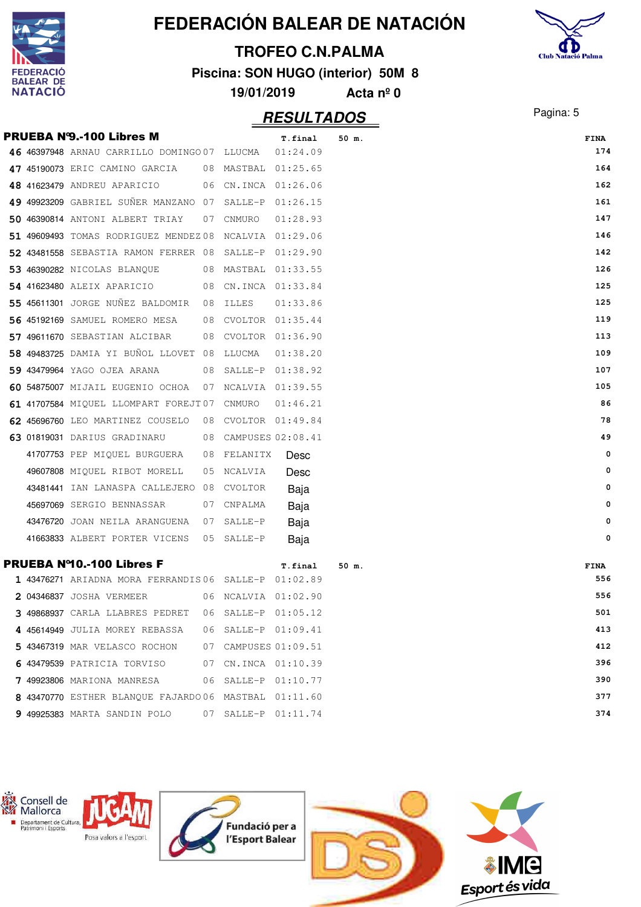|                             |                                                      |              |                         | FEDERACIÓN BALEAR DE NATACIÓN      |                           |
|-----------------------------|------------------------------------------------------|--------------|-------------------------|------------------------------------|---------------------------|
|                             |                                                      |              | <b>TROFEO C.N.PALMA</b> |                                    |                           |
| <b>DERACIO</b>              |                                                      |              |                         | Piscina: SON HUGO (interior) 50M 8 | <b>Club Natació Palma</b> |
| BALEAR DE<br><b>NATACIÓ</b> |                                                      | 19/01/2019   |                         | Acta $n^{\circ}$ 0                 |                           |
|                             |                                                      |              | <b>RESULTADOS</b>       |                                    | Pagina: 5                 |
|                             | <b>PRUEBA N'9.-100 Libres M</b>                      |              | T.final                 | 50 m.                              | FINA                      |
|                             | 46 46397948 ARNAU CARRILLO DOMINGO 07 LLUCMA         |              | 01:24.09                |                                    | 174                       |
|                             | 47 45190073 ERIC CAMINO GARCIA                       | 08 MASTBAL   | 01:25.65                |                                    | 164                       |
|                             | 48 41623479 ANDREU APARICIO<br>06                    |              | CN.INCA 01:26.06        |                                    | 162                       |
|                             | 49 49923209 GABRIEL SUÑER MANZANO 07                 | SALLE-P      | 01:26.15                |                                    | 161                       |
|                             | 50 46390814 ANTONI ALBERT TRIAY<br>07                | CNMURO       | 01:28.93                |                                    | 147                       |
|                             | 51 49609493 TOMAS RODRIGUEZ MENDEZ 08                |              | NCALVIA 01:29.06        |                                    | 146                       |
|                             | 52 43481558 SEBASTIA RAMON FERRER 08                 | SALLE-P      | 01:29.90                |                                    | 142                       |
|                             | 53 46390282 NICOLAS BLANOUE<br>08                    | MASTBAL      | 01:33.55                |                                    | 126                       |
|                             | 54 41623480 ALEIX APARICIO<br>08                     |              | CN.INCA 01:33.84        |                                    | 125                       |
|                             | 55 45611301 JORGE NUÑEZ BALDOMIR<br>08               | <b>ILLES</b> | 01:33.86                |                                    | 125                       |
|                             | 56 45192169 SAMUEL ROMERO MESA<br>08                 | CVOLTOR      | 01:35.44                |                                    | 119                       |
|                             | 57 49611670 SEBASTIAN ALCIBAR<br>08                  |              | CVOLTOR 01:36.90        |                                    | 113                       |
|                             | 58 49483725 DAMIA YI BUÑOL LLOVET 08                 | LLUCMA       | 01:38.20                |                                    | 109                       |
|                             | 59 43479964 YAGO OJEA ARANA<br>08                    | SALLE-P      | 01:38.92                |                                    | 107                       |
|                             | 60 54875007 MIJAIL EUGENIO OCHOA<br>07               |              | NCALVIA 01:39.55        |                                    | 105                       |
|                             | 61 41707584 MIQUEL LLOMPART FOREJT07                 | CNMURO       | 01:46.21                |                                    | 86                        |
|                             | 62 45696760 LEO MARTINEZ COUSELO<br>08               |              | CVOLTOR 01:49.84        |                                    | 78                        |
|                             | 63 01819031 DARIUS GRADINARU<br>08                   |              | CAMPUSES 02:08.41       |                                    | 49                        |
|                             | 41707753 PEP MIQUEL BURGUERA<br>08                   | FELANITX     | Desc                    |                                    | 0                         |
|                             | 49607808 MIQUEL RIBOT MORELL<br>05                   | NCALVIA      | Desc                    |                                    | 0                         |
|                             | 43481441 IAN LANASPA CALLEJERO 08                    | CVOLTOR      | Baja                    |                                    | 0                         |
|                             | 45697069 SERGIO BENNASSAR 07 CNPALMA                 |              | Baja                    |                                    | 0                         |
|                             | 43476720 JOAN NEILA ARANGUENA 07 SALLE-P             |              | Baja                    |                                    | 0                         |
|                             | 41663833 ALBERT PORTER VICENS 05 SALLE-P Baja        |              |                         |                                    | 0                         |
|                             | <b>PRUEBA Nº10.-100 Libres F</b>                     |              | T.final                 | 50 m.                              | <b>FINA</b>               |
|                             | 1 43476271 ARIADNA MORA FERRANDIS06 SALLE-P 01:02.89 |              |                         |                                    | 556                       |
|                             | 2 04346837 JOSHA VERMEER 06 NCALVIA 01:02.90         |              |                         |                                    | 556                       |
|                             | 3 49868937 CARLA LLABRES PEDRET 06 SALLE-P 01:05.12  |              |                         |                                    | 501                       |
|                             | 4 45614949 JULIA MOREY REBASSA 06 SALLE-P 01:09.41   |              |                         |                                    | 413                       |
|                             | 5 43467319 MAR VELASCO ROCHON 07 CAMPUSES 01:09.51   |              |                         |                                    | 412                       |
|                             | 6 43479539 PATRICIA TORVISO 67 CN.INCA 01:10.39      |              |                         |                                    | 396                       |
|                             | 7 49923806 MARIONA MANRESA 06 SALLE-P 01:10.77       |              |                         |                                    | 390                       |
|                             | 8 43470770 ESTHER BLANQUE FAJARDO06 MASTBAL 01:11.60 |              |                         |                                    | 377                       |
|                             | 9 49925383 MARTA SANDIN POLO 07 SALLE-P 01:11.74     |              |                         |                                    | 374                       |

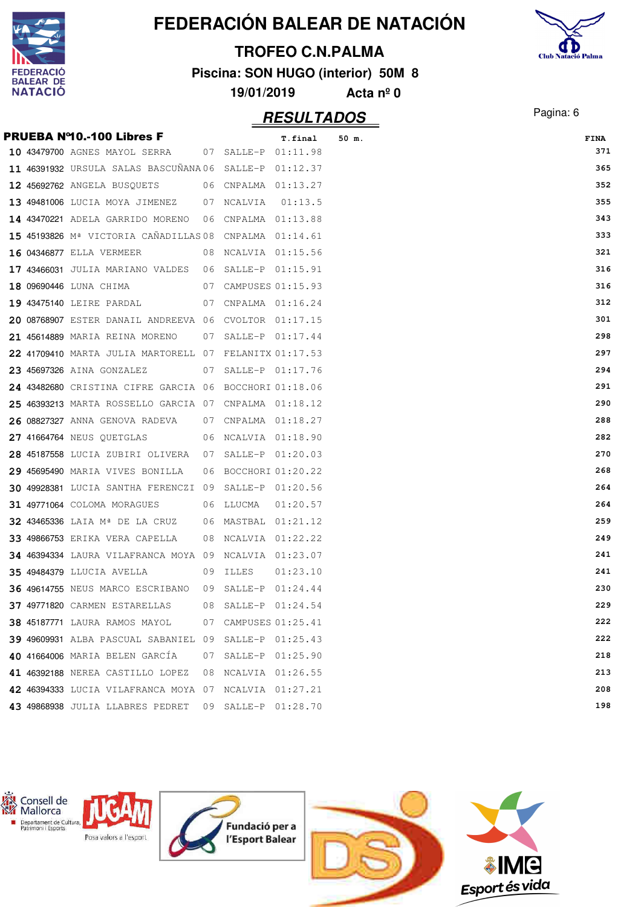

# **Club Natació Palma**

#### **TROFEO C.N.PALMA**

**Piscina: SON HUGO (interior) 50M 8**

| 19/01/2019<br>Acta $n^{\circ}$ 0 |  |  |  |
|----------------------------------|--|--|--|
|----------------------------------|--|--|--|

|  | <b>PRUEBA Nº10.-100 Libres F</b>                            |    |                      | T.final  | 50 m. | FINA |
|--|-------------------------------------------------------------|----|----------------------|----------|-------|------|
|  | 10 43479700 AGNES MAYOL SERRA 07 SALLE-P 01:11.98           |    |                      |          |       | 371  |
|  | 11 46391932 URSULA SALAS BASCUNANA06 SALLE-P 01:12.37       |    |                      |          |       | 365  |
|  | 12 45692762 ANGELA BUSQUETS 06 CNPALMA 01:13.27             |    |                      |          |       | 352  |
|  | 13 49481006 LUCIA MOYA JIMENEZ 07 NCALVIA                   |    |                      | 01:13.5  |       | 355  |
|  | 14 43470221 ADELA GARRIDO MORENO 06 CNPALMA 01:13.88        |    |                      |          |       | 343  |
|  | 15 45193826 Mª VICTORIA CAÑADILLAS 08 CNPALMA 01:14.61      |    |                      |          |       | 333  |
|  | <b>16 04346877</b> ELLA VERMEER                             |    | 08 NCALVIA 01:15.56  |          |       | 321  |
|  | 17 43466031 JULIA MARIANO VALDES 06 SALLE-P 01:15.91        |    |                      |          |       | 316  |
|  | 07 CAMPUSES 01:15.93<br><b>18 09690446</b> LUNA CHIMA       |    |                      |          |       | 316  |
|  | <b>19 43475140</b> LEIRE PARDAL<br>07 CNPALMA 01:16.24      |    |                      |          |       | 312  |
|  | 20 08768907 ESTER DANAIL ANDREEVA 06 CVOLTOR 01:17.15       |    |                      |          |       | 301  |
|  | 21 45614889 MARIA REINA MORENO     07 SALLE-P 01:17.44      |    |                      |          |       | 298  |
|  | 22 41709410 MARTA JULIA MARTORELL 07 FELANITX 01:17.53      |    |                      |          |       | 297  |
|  | 23 45697326 AINA GONZALEZ                                   |    | 07 SALLE-P 01:17.76  |          |       | 294  |
|  | 24 43482680 CRISTINA CIFRE GARCIA 06 BOCCHORI 01:18.06      |    |                      |          |       | 291  |
|  | 25 46393213 MARTA ROSSELLO GARCIA 07 CNPALMA 01:18.12       |    |                      |          |       | 290  |
|  | $26$ 08827327 ANNA GENOVA RADEVA $07$ CNPALMA $01:18.27$    |    |                      |          |       | 288  |
|  | 27 41664764 NEUS QUETGLAS 60 06 NCALVIA 01:18.90            |    |                      |          |       | 282  |
|  | 28 45187558 LUCIA ZUBIRI OLIVERA 07 SALLE-P 01:20.03        |    |                      |          |       | 270  |
|  | 29 45695490 MARIA VIVES BONILLA 06 BOCCHORI 01:20.22        |    |                      |          |       | 268  |
|  | 30 49928381 LUCIA SANTHA FERENCZI 09 SALLE-P 01:20.56       |    |                      |          |       | 264  |
|  | 31 49771064 COLOMA MORAGUES 06 LLUCMA                       |    |                      | 01:20.57 |       | 264  |
|  | 32 43465336 LAIA Mª DE LA CRUZ 06 MASTBAL 01:21.12          |    |                      |          |       | 259  |
|  | <b>33 49866753</b> ERIKA VERA CAPELLA 08 NCALVIA 01:22.22   |    |                      |          |       | 249  |
|  | 34 46394334 LAURA VILAFRANCA MOYA 09 NCALVIA 01:23.07       |    |                      |          |       | 241  |
|  | <b>35 49484379 LLUCIA AVELLA</b><br>09 ILLES                |    |                      | 01:23.10 |       | 241  |
|  | <b>36 49614755</b> NEUS MARCO ESCRIBANO 09 SALLE-P 01:24.44 |    |                      |          |       | 230  |
|  | 37 49771820 CARMEN ESTARELLAS                               | 08 | SALLE-P              | 01:24.54 |       | 229  |
|  | <b>38 45187771 LAURA RAMOS MAYOL</b>                        |    | 07 CAMPUSES 01:25.41 |          |       | 222  |
|  | 39 49609931 ALBA PASCUAL SABANIEL 09 SALLE-P 01:25.43       |    |                      |          |       | 222  |
|  | 40 41664006 MARIA BELEN GARCÍA                              |    | 07 SALLE-P 01:25.90  |          |       | 218  |
|  | 41 46392188 NEREA CASTILLO LOPEZ                            |    | 08 NCALVIA 01:26.55  |          |       | 213  |
|  | 42 46394333 LUCIA VILAFRANCA MOYA 07 NCALVIA 01:27.21       |    |                      |          |       | 208  |
|  | 43 49868938 JULIA LLABRES PEDRET                            |    | 09 SALLE-P 01:28.70  |          |       | 198  |

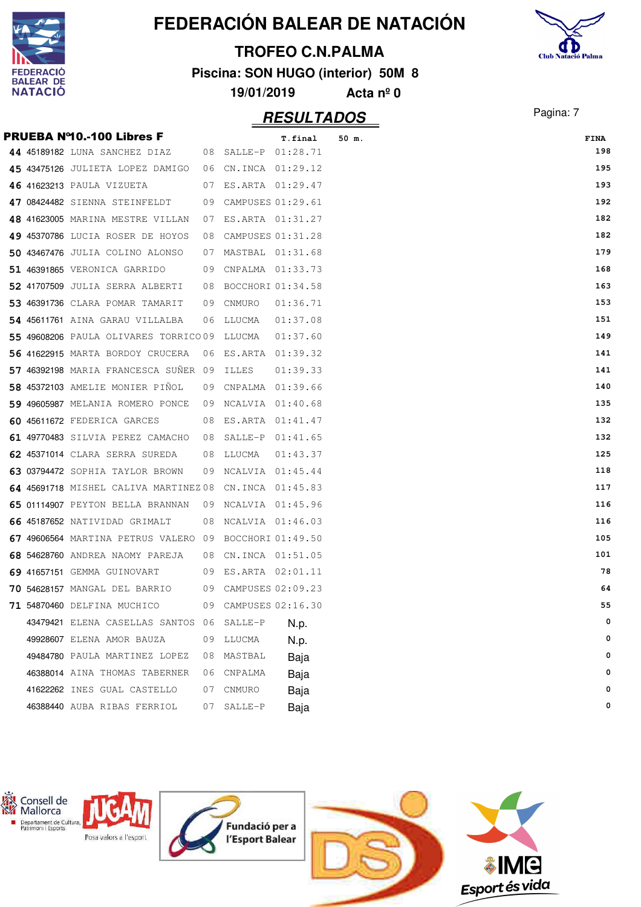

# **Club Natació Palma**

### **TROFEO C.N.PALMA**

**Piscina: SON HUGO (interior) 50M 8**

|  | Acta $n^{\circ}$ 0 |
|--|--------------------|

|  | <b>PRUEBA Nº10.-100 Libres F</b>                       |    |                      | T.final  | 50 m. | FINA |
|--|--------------------------------------------------------|----|----------------------|----------|-------|------|
|  | 44 45189182 LUNA SANCHEZ DIAZ                          |    | 08 SALLE-P 01:28.71  |          |       | 198  |
|  | 45 43475126 JULIETA LOPEZ DAMIGO                       |    | 06 CN.INCA 01:29.12  |          |       | 195  |
|  | 46 41623213 PAULA VIZUETA                              |    | 07 ES.ARTA 01:29.47  |          |       | 193  |
|  | 47 08424482 SIENNA STEINFELDT                          |    | 09 CAMPUSES 01:29.61 |          |       | 192  |
|  | 48 41623005 MARINA MESTRE VILLAN                       |    | 07 ES.ARTA 01:31.27  |          |       | 182  |
|  | 49 45370786 LUCIA ROSER DE HOYOS                       | 08 | CAMPUSES 01:31.28    |          |       | 182  |
|  | 50 43467476 JULIA COLINO ALONSO                        |    | 07 MASTBAL 01:31.68  |          |       | 179  |
|  | <b>51 46391865</b> VERONICA GARRIDO                    |    | 09 CNPALMA 01:33.73  |          |       | 168  |
|  | 52 41707509 JULIA SERRA ALBERTI                        |    | 08 BOCCHORI 01:34.58 |          |       | 163  |
|  | 53 46391736 CLARA POMAR TAMARIT                        |    | 09 CNMURO            | 01:36.71 |       | 153  |
|  | 54 45611761 AINA GARAU VILLALBA                        |    | 06 LLUCMA            | 01:37.08 |       | 151  |
|  | 55 49608206 PAULA OLIVARES TORRICO09 LLUCMA            |    |                      | 01:37.60 |       | 149  |
|  | 56 41622915 MARTA BORDOY CRUCERA                       | 06 | ES.ARTA 01:39.32     |          |       | 141  |
|  | 57 46392198 MARIA FRANCESCA SUNER 09 ILLES             |    |                      | 01:39.33 |       | 141  |
|  | 58 45372103 AMELIE MONIER PINOL                        |    | 09 CNPALMA 01:39.66  |          |       | 140  |
|  | 59 49605987 MELANIA ROMERO PONCE                       |    | 09 NCALVIA 01:40.68  |          |       | 135  |
|  | 60 45611672 FEDERICA GARCES                            |    | 08 ES.ARTA 01:41.47  |          |       | 132  |
|  | 61 49770483 SILVIA PEREZ CAMACHO 08 SALLE-P 01:41.65   |    |                      |          |       | 132  |
|  | 62 45371014 CLARA SERRA SUREDA                         |    | 08 LLUCMA            | 01:43.37 |       | 125  |
|  | 63 03794472 SOPHIA TAYLOR BROWN                        |    | 09 NCALVIA 01:45.44  |          |       | 118  |
|  | 64 45691718 MISHEL CALIVA MARTINEZ 08 CN.INCA 01:45.83 |    |                      |          |       | 117  |
|  | 65 01114907 PEYTON BELLA BRANNAN                       |    | 09 NCALVIA 01:45.96  |          |       | 116  |
|  | 66 45187652 NATIVIDAD GRIMALT                          |    | 08 NCALVIA 01:46.03  |          |       | 116  |
|  | 67 49606564 MARTINA PETRUS VALERO 09 BOCCHORI 01:49.50 |    |                      |          |       | 105  |
|  | 68 54628760 ANDREA NAOMY PAREJA                        |    | 08 CN.INCA 01:51.05  |          |       | 101  |
|  | 69 41657151 GEMMA GUINOVART                            |    | 09 ES.ARTA 02:01.11  |          |       | 78   |
|  | 70 54628157 MANGAL DEL BARRIO                          |    | 09 CAMPUSES 02:09.23 |          |       | 64   |
|  | 71 54870460 DELFINA MUCHICO                            |    | 09 CAMPUSES 02:16.30 |          |       | 55   |
|  | 43479421 ELENA CASELLAS SANTOS 06 SALLE-P              |    |                      | N.p.     |       | 0    |
|  | 49928607 ELENA AMOR BAUZA                              | 09 | LLUCMA               | N.p.     |       | 0    |
|  | 49484780 PAULA MARTINEZ LOPEZ                          | 08 | MASTBAL              | Baja     |       | 0    |
|  | 46388014 AINA THOMAS TABERNER                          | 06 | CNPALMA              | Baja     |       | 0    |
|  | 41622262 INES GUAL CASTELLO                            | 07 | CNMURO               | Baja     |       | 0    |
|  | 46388440 AUBA RIBAS FERRIOL                            | 07 | SALLE-P              | Baja     |       | 0    |

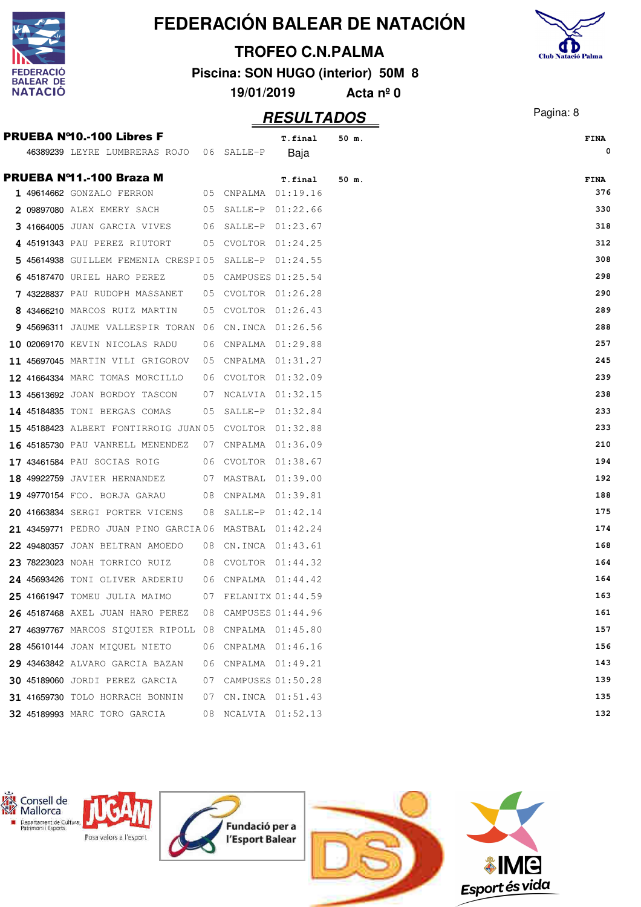



#### **TROFEO C.N.PALMA**

**Piscina: SON HUGO (interior) 50M 8**

**19/01/2019 Acta nº 0**

| <b>PRUEBA Nº10.-100 Libres F</b>                       |      |                      | T.final             | 50 m. | <b>FINA</b> |
|--------------------------------------------------------|------|----------------------|---------------------|-------|-------------|
| 46389239 LEYRE LUMBRERAS ROJO 06 SALLE-P               |      |                      | Baja                |       | 0           |
| PRUEBA Nº11.-100 Braza M                               |      |                      |                     |       |             |
| 1 49614662 GONZALO FERRON                              |      | 05 CNPALMA 01:19.16  | T.final             | 50 m. | FINA<br>376 |
| 2 09897080 ALEX EMERY SACH                             |      |                      | 05 SALLE-P 01:22.66 |       | 330         |
| 3 41664005 JUAN GARCIA VIVES                           |      |                      | 06 SALLE-P 01:23.67 |       | 318         |
| 4 45191343 PAU PEREZ RIUTORT                           |      | 05 CVOLTOR 01:24.25  |                     |       | 312         |
| 5 45614938 GUILLEM FEMENIA CRESPI05 SALLE-P 01:24.55   |      |                      |                     |       | 308         |
| 6 45187470 URIEL HARO PEREZ                            |      | 05 CAMPUSES 01:25.54 |                     |       | 298         |
| 7 43228837 PAU RUDOPH MASSANET                         | 05   | CVOLTOR 01:26.28     |                     |       | 290         |
| 8 43466210 MARCOS RUIZ MARTIN                          | 05   |                      | CVOLTOR 01:26.43    |       | 289         |
| 9 45696311 JAUME VALLESPIR TORAN 06                    |      | CN.INCA 01:26.56     |                     |       | 288         |
| 10 02069170 KEVIN NICOLAS RADU                         | 06   |                      | CNPALMA 01:29.88    |       | 257         |
| 11 45697045 MARTIN VILI GRIGOROV                       |      |                      | 05 CNPALMA 01:31.27 |       | 245         |
| 12 41664334 MARC TOMAS MORCILLO                        | - 06 |                      | CVOLTOR 01:32.09    |       | 239         |
| 13 45613692 JOAN BORDOY TASCON                         |      | 07 NCALVIA 01:32.15  |                     |       | 238         |
| 14 45184835 TONI BERGAS COMAS                          | 05   | SALLE-P 01:32.84     |                     |       | 233         |
| 15 45188423 ALBERT FONTIRROIG JUAN 05 CVOLTOR 01:32.88 |      |                      |                     |       | 233         |
| <b>16 45185730</b> PAU VANRELL MENENDEZ                |      | 07 CNPALMA 01:36.09  |                     |       | 210         |
| <b>17 43461584</b> PAU SOCIAS ROIG                     | 06   | CVOLTOR 01:38.67     |                     |       | 194         |
| <b>18 49922759</b> JAVIER HERNANDEZ                    |      | 07 MASTBAL           | 01:39.00            |       | 192         |
| 19 49770154 FCO. BORJA GARAU                           |      | 08 CNPALMA 01:39.81  |                     |       | 188         |
| 20 41663834 SERGI PORTER VICENS                        | 08   | SALLE-P 01:42.14     |                     |       | 175         |
| 21 43459771 PEDRO JUAN PINO GARCIA06 MASTBAL 01:42.24  |      |                      |                     |       | 174         |
| 22 49480357 JOAN BELTRAN AMOEDO                        |      | 08 CN.INCA 01:43.61  |                     |       | 168         |
| 23 78223023 NOAH TORRICO RUIZ                          | 08   |                      | CVOLTOR 01:44.32    |       | 164         |
| 24 45693426 TONI OLIVER ARDERIU                        |      | 06 CNPALMA 01:44.42  |                     |       | 164         |
| 25 41661947 TOMEU JULIA MAIMO                          |      | 07 FELANITX 01:44.59 |                     |       | 163         |
| 26 45187468 AXEL JUAN HARO PEREZ                       | 08   |                      | CAMPUSES 01:44.96   |       | 161         |
| 27 46397767 MARCOS SIQUIER RIPOLL 08 CNPALMA 01:45.80  |      |                      |                     |       | 157         |
| 28 45610144 JOAN MIOUEL NIETO                          |      | 06 CNPALMA 01:46.16  |                     |       | 156         |
| 29 43463842 ALVARO GARCIA BAZAN                        | 06   | CNPALMA 01:49.21     |                     |       | 143         |
| 30 45189060 JORDI PEREZ GARCIA                         | 07   |                      | CAMPUSES 01:50.28   |       | 139         |
| 31 41659730 TOLO HORRACH BONNIN                        |      | 07 CN.INCA 01:51.43  |                     |       | 135         |
| 32 45189993 MARC TORO GARCIA                           |      |                      | 08 NCALVIA 01:52.13 |       | 132         |

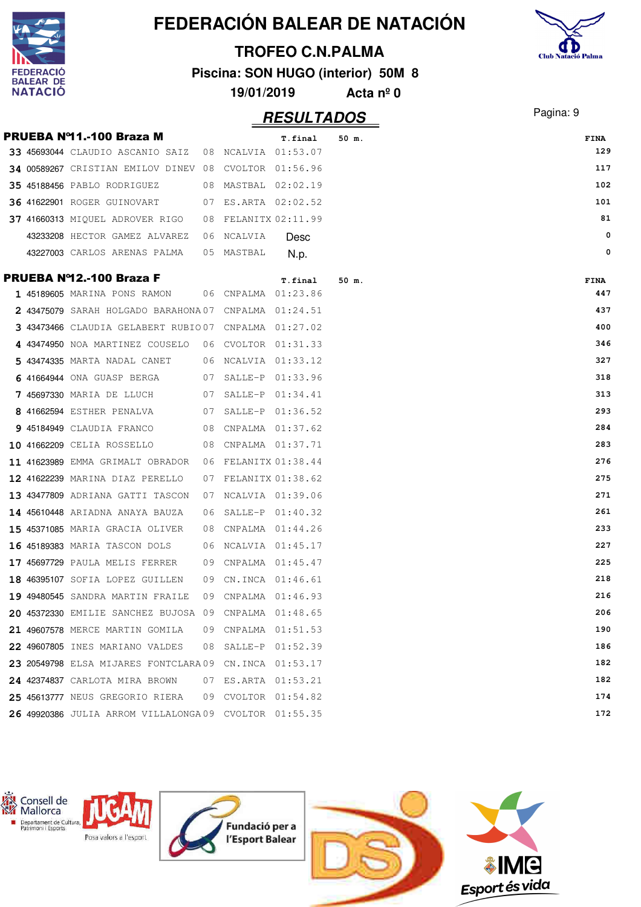|                          |                                                         |    |                     |                                    |                    | FEDERACIÓN BALEAR DE NATACIÓN |                           |
|--------------------------|---------------------------------------------------------|----|---------------------|------------------------------------|--------------------|-------------------------------|---------------------------|
|                          |                                                         |    |                     | <b>TROFEO C.N.PALMA</b>            |                    |                               | <b>Club Natació Palma</b> |
| ERACIO                   |                                                         |    |                     | Piscina: SON HUGO (interior) 50M 8 |                    |                               |                           |
| <b>EAR DE</b><br>NATACIO |                                                         |    | 19/01/2019          |                                    | Acta $n^{\circ}$ 0 |                               |                           |
|                          |                                                         |    |                     |                                    |                    |                               |                           |
|                          |                                                         |    |                     | <b>RESULTADOS</b>                  |                    |                               | Pagina: 9                 |
|                          | PRUEBA Nº11.-100 Braza M                                |    |                     | T.final                            | 50 m.              |                               | <b>FINA</b>               |
|                          | 33 45693044 CLAUDIO ASCANIO SAIZ                        | 08 | NCALVIA 01:53.07    |                                    |                    |                               | 129                       |
|                          | 34 00589267 CRISTIAN EMILOV DINEV                       | 08 | CVOLTOR 01:56.96    |                                    |                    |                               | 117                       |
|                          | 35 45188456 PABLO RODRIGUEZ                             | 08 | MASTBAL 02:02.19    |                                    |                    |                               | 102                       |
|                          | <b>36 41622901 ROGER GUINOVART</b>                      | 07 | ES.ARTA 02:02.52    |                                    |                    |                               | 101                       |
|                          | 37 41660313 MIQUEL ADROVER RIGO                         | 08 | FELANITX 02:11.99   |                                    |                    |                               | 81                        |
|                          | 43233208 HECTOR GAMEZ ALVAREZ                           | 06 | <b>NCALVIA</b>      | Desc                               |                    |                               | 0                         |
|                          | 43227003 CARLOS ARENAS PALMA                            | 05 | MASTBAL             | N.p.                               |                    |                               | 0                         |
|                          | <b>PRUEBA Nº12.-100 Braza F</b>                         |    |                     | T.final                            | 50 m.              |                               | FINA                      |
|                          | 1 45189605 MARINA PONS RAMON                            | 06 | CNPALMA 01:23.86    |                                    |                    |                               | 447                       |
|                          | 43475079 SARAH HOLGADO BARAHONA 07                      |    | CNPALMA             | 01:24.51                           |                    |                               | 437                       |
|                          | 3 43473466 CLAUDIA GELABERT RUBIO07                     |    | CNPALMA             | 01:27.02                           |                    |                               | 400                       |
|                          | 4 43474950 NOA MARTINEZ COUSELO                         |    | 06 CVOLTOR 01:31.33 |                                    |                    |                               | 346                       |
|                          | 43474335 MARTA NADAL CANET                              | 06 | NCALVIA 01:33.12    |                                    |                    |                               | 327                       |
|                          | 41664944 ONA GUASP BERGA                                | 07 | SALLE-P             | 01:33.96                           |                    |                               | 318                       |
|                          | <b>7 45697330 MARIA DE LLUCH</b>                        | 07 | SALLE-P             | 01:34.41                           |                    |                               | 313                       |
|                          | 8 41662594 ESTHER PENALVA                               | 07 | SALLE-P             | 01:36.52                           |                    |                               | 293                       |
|                          | 9 45184949 CLAUDIA FRANCO                               | 08 | CNPALMA 01:37.62    |                                    |                    |                               | 284                       |
|                          | 10 41662209 CELIA ROSSELLO                              | 08 | CNPALMA 01:37.71    |                                    |                    |                               | 283                       |
|                          | 11 41623989 EMMA GRIMALT OBRADOR                        | 06 | FELANITX 01:38.44   |                                    |                    |                               | 276                       |
|                          | 12 41622239 MARINA DIAZ PERELLO                         | 07 | FELANITX 01:38.62   |                                    |                    |                               | 275                       |
|                          | 13 43477809 ADRIANA GATTI TASCON                        |    | 07 NCALVIA 01:39.06 |                                    |                    |                               | 271                       |
|                          | 14 45610448 ARIADNA ANAYA BAUZA                         |    | 06 SALLE-P 01:40.32 |                                    |                    |                               | 261                       |
|                          | 15 45371085 MARIA GRACIA OLIVER                         | 08 | CNPALMA 01:44.26    |                                    |                    |                               | 233                       |
|                          | <b>16 45189383</b> MARIA TASCON DOLS                    |    | 06 NCALVIA 01:45.17 |                                    |                    |                               | 227                       |
|                          | 17 45697729 PAULA MELIS FERRER                          | 09 | CNPALMA 01:45.47    |                                    |                    |                               | 225                       |
|                          | 18 46395107 SOFIA LOPEZ GUILLEN                         |    | 09 CN.INCA 01:46.61 |                                    |                    |                               | 218                       |
|                          | 19 49480545 SANDRA MARTIN FRAILE                        | 09 | CNPALMA 01:46.93    |                                    |                    |                               | 216                       |
|                          | 20 45372330 EMILIE SANCHEZ BUJOSA 09 CNPALMA 01:48.65   |    |                     |                                    |                    |                               | 206                       |
|                          | 21 49607578 MERCE MARTIN GOMILA                         |    | 09 CNPALMA 01:51.53 |                                    |                    |                               | 190                       |
|                          | 22 49607805 INES MARIANO VALDES                         | 08 | SALLE-P 01:52.39    |                                    |                    |                               | 186                       |
|                          | 23 20549798 ELSA MIJARES FONTCLARA 09 CN. INCA 01:53.17 |    |                     |                                    |                    |                               | 182                       |
|                          | 24 42374837 CARLOTA MIRA BROWN                          |    | 07 ES.ARTA 01:53.21 |                                    |                    |                               | 182                       |
|                          | 25 45613777 NEUS GREGORIO RIERA                         |    | 09 CVOLTOR 01:54.82 |                                    |                    |                               | 174                       |
|                          | 26 49920386 JULIA ARROM VILLALONGA09 CVOLTOR 01:55.35   |    |                     |                                    |                    |                               | 172                       |
|                          |                                                         |    |                     |                                    |                    |                               |                           |

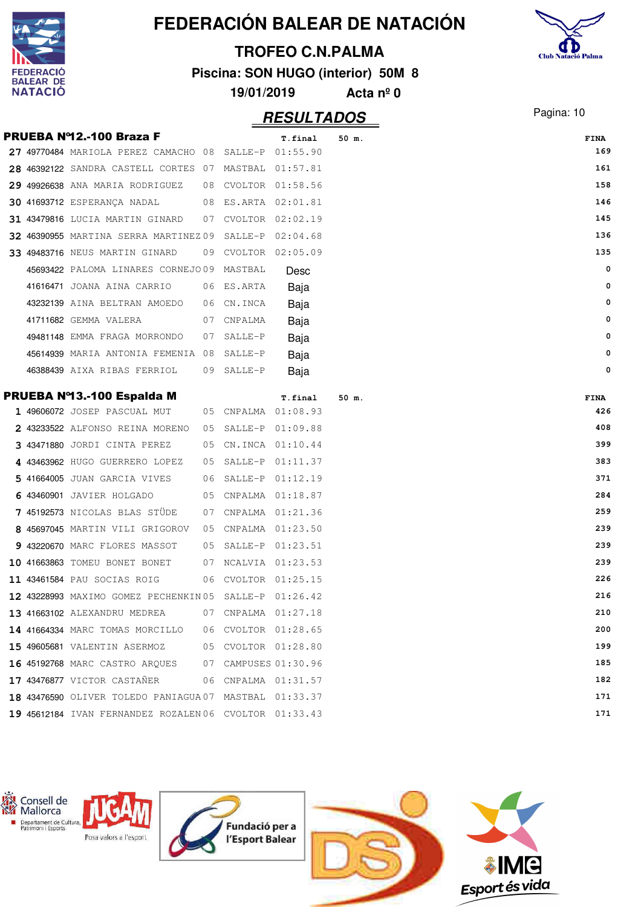|                      |                                                        |    |            |                         | FEDERACIÓN BALEAR DE NATACIÓN      |                           |
|----------------------|--------------------------------------------------------|----|------------|-------------------------|------------------------------------|---------------------------|
|                      |                                                        |    |            | <b>TROFEO C.N.PALMA</b> |                                    |                           |
| ERACIO               |                                                        |    |            |                         | Piscina: SON HUGO (interior) 50M 8 | <b>Club Natació Palma</b> |
| BALEAR DE<br>NATACIÓ |                                                        |    | 19/01/2019 |                         | Acta $n^{\circ}$ 0                 |                           |
|                      |                                                        |    |            |                         |                                    |                           |
|                      |                                                        |    |            | <b>RESULTADOS</b>       |                                    | Pagina: 10                |
|                      | <b>PRUEBA Nº12.-100 Braza F</b>                        |    |            | T.final                 | 50 m.                              | <b>FINA</b>               |
|                      | 27 49770484 MARIOLA PEREZ CAMACHO 08                   |    | SALLE-P    | 01:55.90                |                                    | 169                       |
|                      | 28 46392122 SANDRA CASTELL CORTES 07                   |    | MASTBAL    | 01:57.81                |                                    | 161                       |
|                      | 29 49926638 ANA MARIA RODRIGUEZ                        | 08 |            | CVOLTOR 01:58.56        |                                    | 158                       |
|                      | <b>30 41693712 ESPERANÇA NADAL</b>                     | 08 |            | ES.ARTA 02:01.81        |                                    | 146                       |
|                      | 31 43479816 LUCIA MARTIN GINARD                        | 07 |            | CVOLTOR 02:02.19        |                                    | 145                       |
|                      | 32 46390955 MARTINA SERRA MARTINEZ 09                  |    | $SALLE-P$  | 02:04.68                |                                    | 136                       |
|                      | 33 49483716 NEUS MARTIN GINARD                         | 09 |            | CVOLTOR 02:05.09        |                                    | 135                       |
|                      | 45693422 PALOMA LINARES CORNEJO09                      |    | MASTBAL    | Desc                    |                                    | 0                         |
|                      | 41616471 JOANA AINA CARRIO                             | 06 | ES.ARTA    | Baja                    |                                    | 0                         |
|                      | 43232139 AINA BELTRAN AMOEDO                           | 06 | CN.INCA    | Baja                    |                                    | 0                         |
|                      | 41711682 GEMMA VALERA                                  | 07 | CNPALMA    | Baja                    |                                    | 0                         |
|                      | 49481148 EMMA FRAGA MORRONDO                           | 07 | SALLE-P    | Baja                    |                                    | 0                         |
|                      | 45614939 MARIA ANTONIA FEMENIA 08                      |    | SALLE-P    | Baja                    |                                    | 0                         |
|                      | 46388439 AIXA RIBAS FERRIOL                            | 09 | SALLE-P    | Baja                    |                                    | 0                         |
|                      | PRUEBA Nº13.-100 Espalda M                             |    |            |                         |                                    |                           |
|                      | 1 49606072 JOSEP PASCUAL MUT                           | 05 | CNPALMA    | T.final<br>01:08.93     | 50 m.                              | <b>FINA</b><br>426        |
|                      | 43233522 ALFONSO REINA MORENO                          | 05 | SALLE-P    | 01:09.88                |                                    | 408                       |
|                      | 3 43471880 JORDI CINTA PEREZ                           | 05 | CN.INCA    | 01:10.44                |                                    | 399                       |
|                      | 43463962 HUGO GUERRERO LOPEZ                           | 05 | SALLE-P    | 01:11.37                |                                    | 383                       |
|                      | 5 41664005 JUAN GARCIA VIVES                           | 06 |            | SALLE-P 01:12.19        |                                    | 371                       |
|                      | 6 43460901 JAVIER HOLGADO                              |    |            | 05 CNPALMA 01:18.87     |                                    | 284                       |
|                      | 7 45192573 NICOLAS BLAS STUDE                          |    |            | 07 CNPALMA 01:21.36     |                                    | 259                       |
|                      | 8 45697045 MARTIN VILI GRIGOROV                        |    |            | 05 CNPALMA 01:23.50     |                                    | 239                       |
|                      | 9 43220670 MARC FLORES MASSOT                          |    |            | 05 SALLE-P 01:23.51     |                                    | 239                       |
|                      | 10 41663863 TOMEU BONET BONET                          |    |            | 07 NCALVIA 01:23.53     |                                    | 239                       |
|                      | 11 43461584 PAU SOCIAS ROIG                            |    |            | 06 CVOLTOR 01:25.15     |                                    | 226                       |
|                      | 12 43228993 MAXIMO GOMEZ PECHENKIN05 SALLE-P 01:26.42  |    |            |                         |                                    | 216                       |
|                      | <b>13 41663102</b> ALEXANDRU MEDREA                    |    |            | 07 CNPALMA 01:27.18     |                                    | 210                       |
|                      | 14 41664334 MARC TOMAS MORCILLO                        |    |            | 06 CVOLTOR 01:28.65     |                                    | 200                       |
|                      | <b>15 49605681</b> VALENTIN ASERMOZ                    |    |            | 05 CVOLTOR 01:28.80     |                                    | 199                       |
|                      | <b>16 45192768 MARC CASTRO ARQUES</b>                  |    |            | 07 CAMPUSES 01:30.96    |                                    | 185                       |
|                      | 17 43476877 VICTOR CASTAÑER                            |    |            | 06 CNPALMA 01:31.57     |                                    | 182                       |
|                      | 18 43476590 OLIVER TOLEDO PANIAGUA 07 MASTBAL 01:33.37 |    |            |                         |                                    | 171                       |
|                      |                                                        |    |            |                         |                                    | 171                       |
|                      | 19 45612184 IVAN FERNANDEZ ROZALEN06 CVOLTOR 01:33.43  |    |            |                         |                                    |                           |

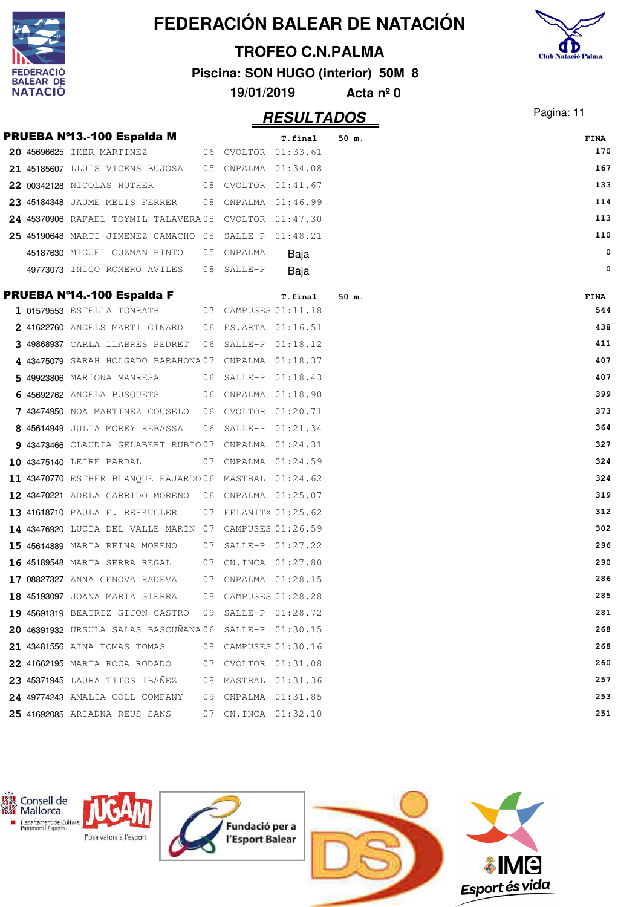|                                    |                                                        |    |            |                         | FEDERACIÓN BALEAR DE NATACIÓN      |                           |
|------------------------------------|--------------------------------------------------------|----|------------|-------------------------|------------------------------------|---------------------------|
|                                    |                                                        |    |            | <b>TROFEO C.N.PALMA</b> |                                    |                           |
| <b>FEDERACIO</b>                   |                                                        |    |            |                         | Piscina: SON HUGO (interior) 50M 8 | <b>Club Natació Palma</b> |
| <b>BALEAR DE</b><br><b>NATACIO</b> |                                                        |    | 19/01/2019 |                         | Acta $n^{\circ}$ 0                 |                           |
|                                    |                                                        |    |            | <b>RESULTADOS</b>       |                                    | Pagina: 11                |
|                                    | PRUEBA Nº13.-100 Espalda M                             |    |            | T.final                 | 50 m.                              | <b>FINA</b>               |
|                                    | 20 45696625 IKER MARTINEZ                              |    |            | 06 CVOLTOR 01:33.61     |                                    | 170                       |
|                                    | 21 45185607 LLUIS VICENS BUJOSA                        |    |            | 05 CNPALMA 01:34.08     |                                    | 167                       |
|                                    | 22 00342128 NICOLAS HUTHER                             |    |            | 08 CVOLTOR 01:41.67     |                                    | 133                       |
|                                    | 23 45184348 JAUME MELIS FERRER                         |    |            | 08 CNPALMA 01:46.99     |                                    | 114                       |
|                                    | 24 45370906 RAFAEL TOYMIL TALAVERA08 CVOLTOR 01:47.30  |    |            |                         |                                    | 113                       |
|                                    | 25 45190648 MARTI JIMENEZ CAMACHO 08 SALLE-P 01:48.21  |    |            |                         |                                    | 110                       |
|                                    | 45187630 MIGUEL GUZMAN PINTO                           | 05 | CNPALMA    | Baja                    |                                    | $\mathbf 0$               |
|                                    | 49773073 IÑIGO ROMERO AVILES                           | 08 | SALLE-P    | Baja                    |                                    | $\mathbf 0$               |
|                                    | PRUEBA Nº14.-100 Espalda F                             |    |            | T.final                 | 50 m.                              | <b>FINA</b>               |
|                                    | 1 01579553 ESTELLA TONRATH                             |    |            | 07 CAMPUSES 01:11.18    |                                    | 544                       |
|                                    | 2 41622760 ANGELS MARTI GINARD                         |    |            | 06 ES.ARTA 01:16.51     |                                    | 438                       |
|                                    | 3 49868937 CARLA LLABRES PEDRET                        | 06 |            | SALLE-P 01:18.12        |                                    | 411                       |
|                                    | 4 43475079 SARAH HOLGADO BARAHONA07 CNPALMA 01:18.37   |    |            |                         |                                    | 407                       |
|                                    | 5 49923806 MARIONA MANRESA                             |    |            | 06 SALLE-P 01:18.43     |                                    | 407                       |
|                                    | 6 45692762 ANGELA BUSQUETS                             |    |            | 06 CNPALMA 01:18.90     |                                    | 399                       |
|                                    | 7 43474950 NOA MARTINEZ COUSELO                        |    |            | 06 CVOLTOR 01:20.71     |                                    | 373                       |
|                                    | 8 45614949 JULIA MOREY REBASSA                         | 06 |            | SALLE-P 01:21.34        |                                    | 364                       |
|                                    | 9 43473466 CLAUDIA GELABERT RUBIO07 CNPALMA 01:24.31   |    |            |                         |                                    | 327                       |
|                                    | 10 43475140 LEIRE PARDAL                               |    |            | 07 CNPALMA 01:24.59     |                                    | 324                       |
|                                    | 11 43470770 ESTHER BLANQUE FAJARDO 06 MASTBAL 01:24.62 |    |            |                         |                                    | 324                       |
|                                    | 12 43470221 ADELA GARRIDO MORENO 06 CNPALMA 01:25.07   |    |            |                         |                                    | 319                       |
|                                    | 13 41618710 PAULA E. REHKUGLER                         | 07 |            | FELANITX 01:25.62       |                                    | 312                       |
|                                    | 14 43476920 LUCIA DEL VALLE MARIN 07 CAMPUSES 01:26.59 |    |            |                         |                                    | 302                       |
|                                    | 15 45614889 MARIA REINA MORENO                         | 07 |            | SALLE-P 01:27.22        |                                    | 296                       |
|                                    | 16 45189548 MARTA SERRA REGAL                          | 07 |            | CN.INCA 01:27.80        |                                    | 290                       |
|                                    | 17 08827327 ANNA GENOVA RADEVA                         | 07 |            | CNPALMA 01:28.15        |                                    | 286                       |
|                                    | 18 45193097 JOANA MARIA SIERRA                         | 08 |            | CAMPUSES 01:28.28       |                                    | 285                       |
|                                    | 19 45691319 BEATRIZ GIJON CASTRO                       | 09 |            | SALLE-P 01:28.72        |                                    | 281                       |
|                                    | 20 46391932 URSULA SALAS BASCUÑANA06                   |    |            | SALLE-P 01:30.15        |                                    | 268                       |
|                                    | 21 43481556 AINA TOMAS TOMAS                           | 08 |            | CAMPUSES 01:30.16       |                                    | 268                       |
|                                    | 22 41662195 MARTA ROCA RODADO                          | 07 |            | CVOLTOR 01:31.08        |                                    | 260                       |
|                                    | 23 45371945 LAURA TITOS IBANEZ                         | 08 |            | MASTBAL 01:31.36        |                                    | 257                       |
|                                    | 24 49774243 AMALIA COLL COMPANY                        | 09 |            | CNPALMA 01:31.85        |                                    | 253                       |
|                                    | 25 41692085 ARIADNA REUS SANS                          | 07 |            | CN.INCA 01:32.10        |                                    | 251                       |

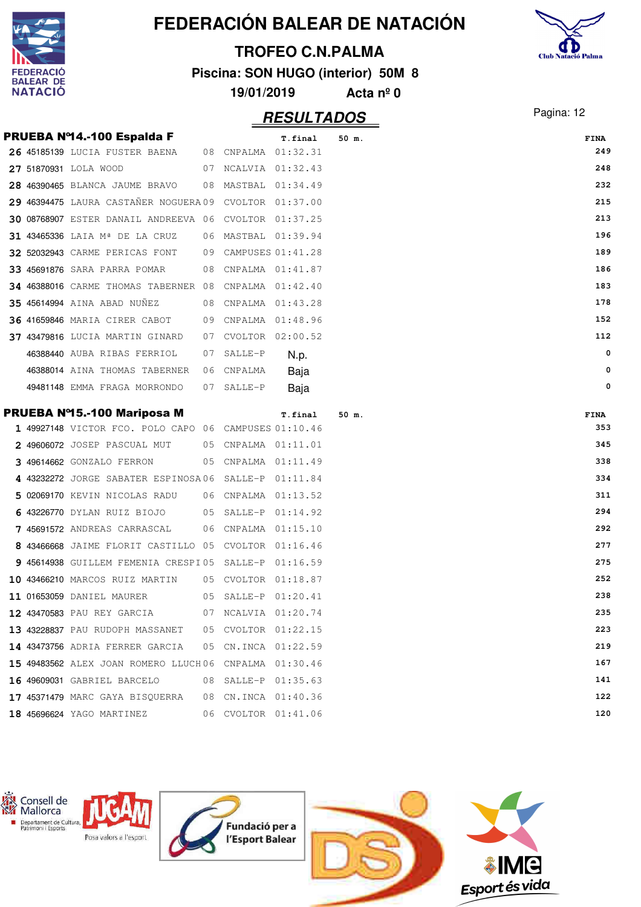

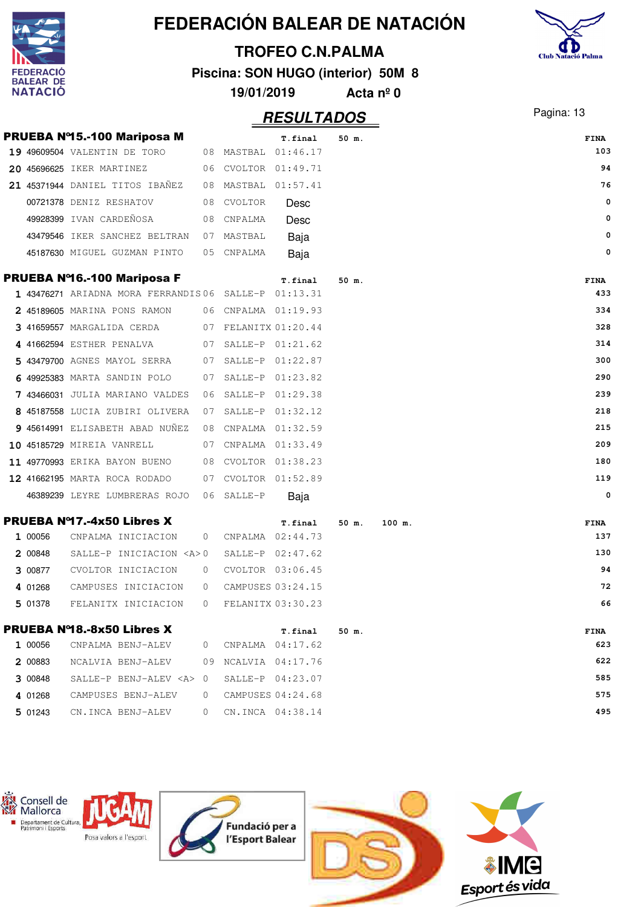|   |                             |                                                                    |                |                   |                                    |                    | FEDERACIÓN BALEAR DE NATACIÓN |                           |
|---|-----------------------------|--------------------------------------------------------------------|----------------|-------------------|------------------------------------|--------------------|-------------------------------|---------------------------|
|   |                             |                                                                    |                |                   | <b>TROFEO C.N.PALMA</b>            |                    |                               | <b>Club Natació Palma</b> |
|   | <b>DERACIO</b>              |                                                                    |                |                   | Piscina: SON HUGO (interior) 50M 8 |                    |                               |                           |
|   | BALEAR DE<br><b>NATACIO</b> |                                                                    |                | 19/01/2019        |                                    | Acta $n^{\circ}$ 0 |                               |                           |
|   |                             |                                                                    |                |                   | <b>RESULTADOS</b>                  |                    |                               | Pagina: 13                |
|   |                             |                                                                    |                |                   |                                    |                    |                               |                           |
|   |                             | <b>PRUEBA Nº15.-100 Mariposa M</b><br>19 49609504 VALENTIN DE TORO | 08             | MASTBAL           | T.final<br>01:46.17                | 50 m.              |                               | <b>FINA</b><br>103        |
|   |                             | 20 45696625 IKER MARTINEZ                                          | 06             |                   | CVOLTOR 01:49.71                   |                    |                               | 94                        |
|   |                             | 21 45371944 DANIEL TITOS IBAÑEZ                                    | 08             | MASTBAL 01:57.41  |                                    |                    |                               | 76                        |
|   |                             | 00721378 DENIZ RESHATOV                                            | 08             | CVOLTOR           | Desc                               |                    |                               | $\mathbf 0$               |
|   |                             | 49928399 IVAN CARDEÑOSA                                            | 08             | CNPALMA           | Desc                               |                    |                               | 0                         |
|   |                             | 43479546 IKER SANCHEZ BELTRAN                                      | 07             | MASTBAL           | Baja                               |                    |                               | 0                         |
|   |                             | 45187630 MIGUEL GUZMAN PINTO                                       | 05             | CNPALMA           | Baja                               |                    |                               | 0                         |
|   |                             |                                                                    |                |                   |                                    |                    |                               |                           |
|   |                             | <b>PRUEBA Nº16.-100 Mariposa F</b>                                 |                |                   | T.final                            | 50 m.              |                               | <b>FINA</b>               |
|   |                             | 1 43476271 ARIADNA MORA FERRANDIS 06                               |                | SALLE-P           | 01:13.31                           |                    |                               | 433                       |
|   |                             | 2 45189605 MARINA PONS RAMON                                       | 06             | CNPALMA 01:19.93  |                                    |                    |                               | 334                       |
|   |                             | 3 41659557 MARGALIDA CERDA                                         | 07             | FELANITX 01:20.44 |                                    |                    |                               | 328                       |
|   |                             | 4 41662594 ESTHER PENALVA                                          | 07             |                   | SALLE-P 01:21.62                   |                    |                               | 314                       |
| 5 |                             | 43479700 AGNES MAYOL SERRA                                         | 07             | SALLE-P           | 01:22.87                           |                    |                               | 300                       |
|   |                             | 6 49925383 MARTA SANDIN POLO                                       | 07             | SALLE-P           | 01:23.82                           |                    |                               | 290                       |
|   |                             | 7 43466031 JULIA MARIANO VALDES                                    | 06             | SALLE-P           | 01:29.38                           |                    |                               | 239                       |
|   |                             | 8 45187558 LUCIA ZUBIRI OLIVERA                                    | 07             | SALLE-P           | 01:32.12                           |                    |                               | 218                       |
|   |                             | 9 45614991 ELISABETH ABAD NUÑEZ                                    | 08             |                   | CNPALMA 01:32.59                   |                    |                               | 215                       |
|   |                             | 10 45185729 MIREIA VANRELL                                         | 07             |                   | CNPALMA 01:33.49                   |                    |                               | 209                       |
|   |                             | 11 49770993 ERIKA BAYON BUENO                                      | 08             | CVOLTOR           | 01:38.23                           |                    |                               | 180                       |
|   |                             | 12 41662195 MARTA ROCA RODADO                                      | 07             | CVOLTOR 01:52.89  |                                    |                    |                               | 119                       |
|   |                             | 46389239 LEYRE LUMBRERAS ROJO                                      |                | 06 SALLE-P        | Baja                               |                    |                               | 0                         |
|   |                             | <b>PRUEBA Nº17.-4x50 Libres X</b>                                  |                |                   | T.final                            | 50 m.              | 100 m.                        | <b>FINA</b>               |
|   | 1 00056                     | CNPALMA INICIACION                                                 | 0              |                   | CNPALMA 02:44.73                   |                    |                               | 137                       |
|   | 2 00848                     | SALLE-P INICIACION <a>0</a>                                        |                |                   | $SALLE-P$ $02:47.62$               |                    |                               | 130                       |
|   | 3 00877                     | CVOLTOR INICIACION                                                 | 0              |                   | CVOLTOR 03:06.45                   |                    |                               | 94                        |
|   | 4 01268                     | CAMPUSES INICIACION                                                | 0              |                   | CAMPUSES 03:24.15                  |                    |                               | 72                        |
|   | 5 01378                     | FELANITX INICIACION                                                | 0              |                   | FELANITX 03:30.23                  |                    |                               | 66                        |
|   |                             | <b>PRUEBA Nº18.-8x50 Libres X</b>                                  |                |                   |                                    |                    |                               |                           |
|   | 1 00056                     | CNPALMA BENJ-ALEV                                                  | 0              |                   | T.final<br>CNPALMA 04:17.62        | 50 m.              |                               | <b>FINA</b><br>623        |
|   | 2 00883                     | NCALVIA BENJ-ALEV                                                  | 09             | NCALVIA 04:17.76  |                                    |                    |                               | 622                       |
|   | 3 00848                     | SALLE-P BENJ-ALEV <a></a>                                          | $\overline{0}$ |                   | SALLE-P 04:23.07                   |                    |                               | 585                       |
|   | 4 01268                     | CAMPUSES BENJ-ALEV                                                 | $\mathbf{0}$   |                   | CAMPUSES 04:24.68                  |                    |                               | 575                       |
|   |                             |                                                                    |                |                   |                                    |                    |                               | 495                       |
|   | 5 01243                     | CN.INCA BENJ-ALEV                                                  | 0              |                   | CN.INCA 04:38.14                   |                    |                               |                           |

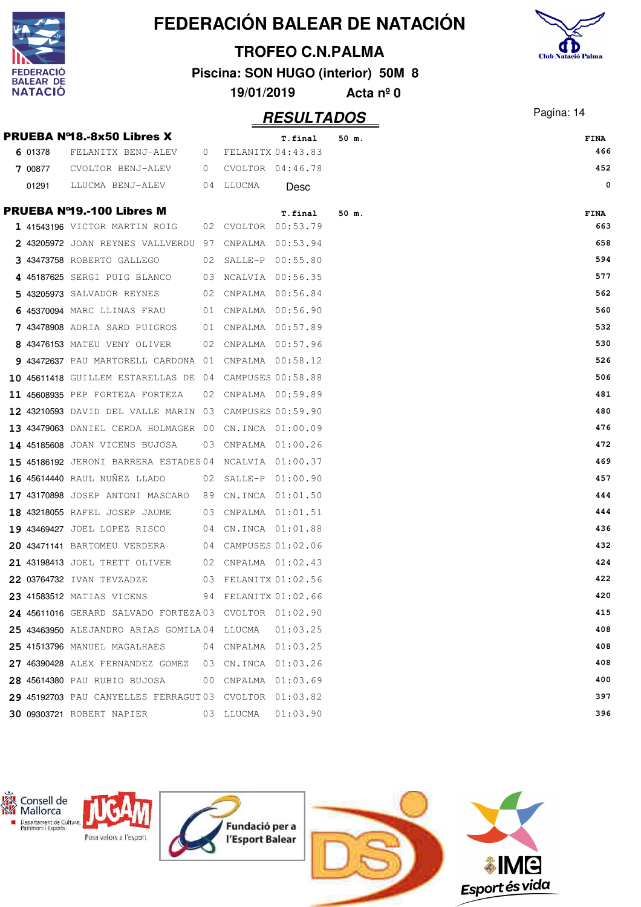|                      |                                                       |      |            |                         | <b>FEDERACION BALEAR DE NATACION</b> |                           |
|----------------------|-------------------------------------------------------|------|------------|-------------------------|--------------------------------------|---------------------------|
|                      |                                                       |      |            | <b>TROFEO C.N.PALMA</b> |                                      | <b>Club Natació Palma</b> |
| <b>DERACIO</b>       |                                                       |      |            |                         | Piscina: SON HUGO (interior) 50M 8   |                           |
| BALEAR DE<br>NATACIO |                                                       |      | 19/01/2019 |                         | Acta $n^{\circ}$ 0                   |                           |
|                      |                                                       |      |            |                         |                                      |                           |
|                      |                                                       |      |            | <b>RESULTADOS</b>       |                                      | Pagina: 14                |
|                      | <b>PRUEBA Nº18.-8x50 Libres X</b>                     |      |            | T.final                 | 50 m.                                | <b>FINA</b>               |
| 6 01378              | FELANITX BENJ-ALEV                                    | 0    |            | FELANITX 04:43.83       |                                      | 466                       |
| 7 00877              | CVOLTOR BENJ-ALEV                                     | 0    |            | CVOLTOR 04:46.78        |                                      | 452                       |
| 01291                | LLUCMA BENJ-ALEV                                      | 04   | LLUCMA     | Desc                    |                                      | 0                         |
|                      | <b>PRUEBA Nº19.-100 Libres M</b>                      |      |            | T.final                 | $50$ m.                              | <b>FINA</b>               |
|                      | 1 41543196 VICTOR MARTIN ROIG                         | 02   |            | CVOLTOR 00:53.79        |                                      | 663                       |
|                      | 2 43205972 JOAN REYNES VALLVERDU                      | - 97 | CNPALMA    | 00:53.94                |                                      | 658                       |
|                      | 43473758 ROBERTO GALLEGO                              | 02   | SALLE-P    | 00:55.80                |                                      | 594                       |
|                      | 45187625 SERGI PUIG BLANCO                            | 03   | NCALVIA    | 00:56.35                |                                      | 577                       |
|                      | 5 43205973 SALVADOR REYNES                            | 02   | CNPALMA    | 00:56.84                |                                      | 562                       |
|                      | 45370094 MARC LLINAS FRAU                             | 01   |            | CNPALMA 00:56.90        |                                      | 560                       |
|                      | 7 43478908 ADRIA SARD PUIGROS                         | 01   |            | CNPALMA 00:57.89        |                                      | 532                       |
|                      | 8 43476153 MATEU VENY OLIVER                          | 02   | CNPALMA    | 00:57.96                |                                      | 530                       |
|                      | 9 43472637 PAU MARTORELL CARDONA 01                   |      |            | CNPALMA 00:58.12        |                                      | 526                       |
|                      | 10 45611418 GUILLEM ESTARELLAS DE                     | 04   |            | CAMPUSES 00:58.88       |                                      | 506                       |
|                      | 11 45608935 PEP FORTEZA FORTEZA                       | 02   |            | CNPALMA 00:59.89        |                                      | 481                       |
|                      | 12 43210593 DAVID DEL VALLE MARIN                     | 03   |            | CAMPUSES 00:59.90       |                                      | 480                       |
|                      | 13 43479063 DANIEL CERDA HOLMAGER 00                  |      |            | CN.INCA 01:00.09        |                                      | 476                       |
|                      | 14 45185608 JOAN VICENS BUJOSA                        | 03   |            | CNPALMA 01:00.26        |                                      | 472                       |
|                      | 15 45186192 JERONI BARRERA ESTADES 04                 |      |            | NCALVIA 01:00.37        |                                      | 469                       |
|                      | 16 45614440 RAUL NUÑEZ LLADO                          | 02   | SALLE-P    | 01:00.90                |                                      | 457                       |
|                      | 17 43170898 JOSEP ANTONI MASCARO                      | 89   |            | CN.INCA 01:01.50        |                                      | 444                       |
|                      | 18 43218055 RAFEL JOSEP JAUME 03 CNPALMA 01:01.51     |      |            |                         |                                      | 444                       |
|                      | 19 43469427 JOEL LOPEZ RISCO 04 CN.INCA 01:01.88      |      |            |                         |                                      | 436                       |
|                      | 20 43471141 BARTOMEU VERDERA 04 CAMPUSES 01:02.06     |      |            |                         |                                      | 432                       |
|                      | 21 43198413 JOEL TRETT OLIVER 02 CNPALMA 01:02.43     |      |            |                         |                                      | 424                       |
|                      | 22 03764732 IVAN TEVZADZE 03 FELANITX 01:02.56        |      |            |                         |                                      | 422                       |
|                      | 23 41583512 MATIAS VICENS 94 FELANITX 01:02.66        |      |            |                         |                                      | 420                       |
|                      | 24 45611016 GERARD SALVADO FORTEZA03 CVOLTOR 01:02.90 |      |            |                         |                                      | 415                       |
|                      | 25 43463950 ALEJANDRO ARIAS GOMILA04 LLUCMA           |      |            | 01:03.25                |                                      | 408                       |
|                      | 25 41513796 MANUEL MAGALHAES 04 CNPALMA 01:03.25      |      |            |                         |                                      | 408                       |
|                      | 27 46390428 ALEX FERNANDEZ GOMEZ 03 CN.INCA 01:03.26  |      |            |                         |                                      | 408                       |
|                      | 28 45614380 PAU RUBIO BUJOSA 00 CNPALMA 01:03.69      |      |            |                         |                                      | 400                       |
|                      | 29 45192703 PAU CANYELLES FERRAGUT03 CVOLTOR 01:03.82 |      |            |                         |                                      | 397                       |
|                      | 30 09303721 ROBERT NAPIER 03 LLUCMA 01:03.90          |      |            |                         |                                      | 396                       |





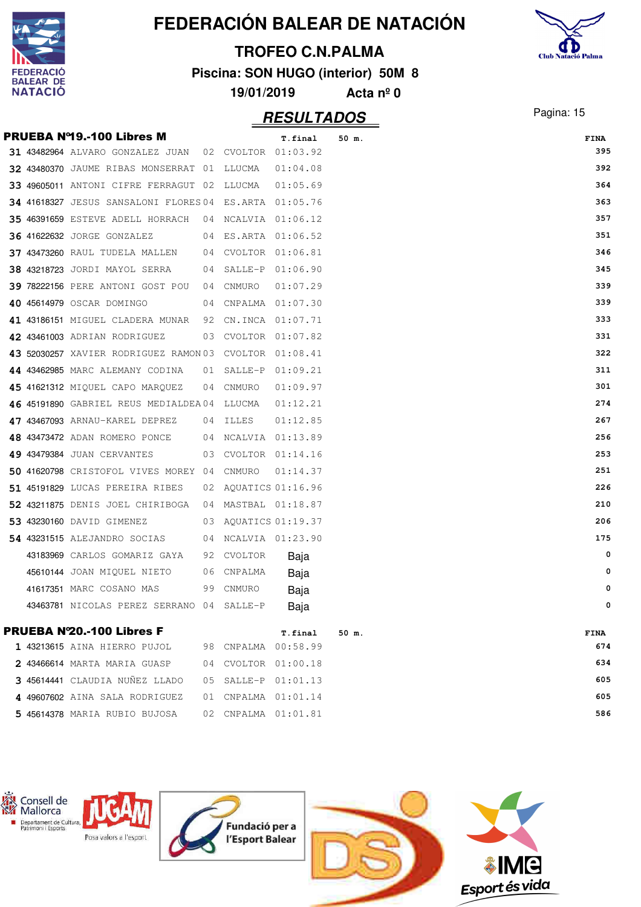

## **TROFEO C.N.PALMA**



**Piscina: SON HUGO (interior) 50M 8**

| 19/01/2019 | Acta $n^{\circ}$ 0 |
|------------|--------------------|
|            |                    |

|  | <b>PRUEBA Nº19.-100 Libres M</b>                       |    |                      | T.final           | 50 m. |  | FINA     |
|--|--------------------------------------------------------|----|----------------------|-------------------|-------|--|----------|
|  | 31 43482964 ALVARO GONZALEZ JUAN 02 CVOLTOR 01:03.92   |    |                      |                   |       |  | 395      |
|  | 32 43480370 JAUME RIBAS MONSERRAT 01 LLUCMA            |    |                      | 01:04.08          |       |  | 392      |
|  | 33 49605011 ANTONI CIFRE FERRAGUT 02 LLUCMA            |    |                      | 01:05.69          |       |  | 364      |
|  | 34 41618327 JESUS SANSALONI FLORES 04 ES.ARTA 01:05.76 |    |                      |                   |       |  | 363      |
|  | $35$ 46391659 ESTEVE ADELL HORRACH 04 NCALVIA 01:06.12 |    |                      |                   |       |  | 357      |
|  | <b>36 41622632 JORGE GONZALEZ</b>                      |    | 04 ES.ARTA 01:06.52  |                   |       |  | 351      |
|  | 37 43473260 RAUL TUDELA MALLEN 04 CVOLTOR 01:06.81     |    |                      |                   |       |  | 346      |
|  | 38 43218723 JORDI MAYOL SERRA                          |    | 04 SALLE-P 01:06.90  |                   |       |  | 345      |
|  | 39 78222156 PERE ANTONI GOST POU 04 CNMURO             |    |                      | 01:07.29          |       |  | 339      |
|  | 40 45614979 OSCAR DOMINGO                              |    | 04 CNPALMA 01:07.30  |                   |       |  | 339      |
|  | 41 43186151 MIGUEL CLADERA MUNAR 92 CN.INCA 01:07.71   |    |                      |                   |       |  | 333      |
|  | <b>42 43461003</b> Adrian rodriguez                    |    | 03 CVOLTOR 01:07.82  |                   |       |  | 331      |
|  | 43 52030257 XAVIER RODRIGUEZ RAMON03 CVOLTOR 01:08.41  |    |                      |                   |       |  | 322      |
|  | 44 43462985 MARC ALEMANY CODINA                        |    | 01 SALLE-P 01:09.21  |                   |       |  | 311      |
|  | 45 41621312 MIQUEL CAPO MARQUEZ                        |    | 04 CNMURO            | 01:09.97          |       |  | 301      |
|  | 46 45191890 GABRIEL REUS MEDIALDEA04 LLUCMA            |    |                      | 01:12.21          |       |  | 274      |
|  | 47 43467093 ARNAU-KAREL DEPREZ                         |    | 04 ILLES             | 01:12.85          |       |  | 267      |
|  | 48 43473472 ADAN ROMERO PONCE                          |    | 04 NCALVIA 01:13.89  |                   |       |  | 256      |
|  | 49 43479384 JUAN CERVANTES                             |    | 03 CVOLTOR 01:14.16  |                   |       |  | 253      |
|  | 50 41620798 CRISTOFOL VIVES MOREY 04 CNMURO            |    |                      | 01:14.37          |       |  | 251      |
|  | 51 45191829 LUCAS PEREIRA RIBES                        |    | 02 AQUATICS 01:16.96 |                   |       |  | 226      |
|  | $52$ 43211875 DENIS JOEL CHIRIBOGA 04 MASTBAL 01:18.87 |    |                      |                   |       |  | 210      |
|  | 53 43230160 DAVID GIMENEZ                              |    | 03 AQUATICS 01:19.37 |                   |       |  | 206      |
|  | <b>54 43231515</b> ALEJANDRO SOCIAS                    |    | 04 NCALVIA 01:23.90  |                   |       |  | 175      |
|  | 43183969 CARLOS GOMARIZ GAYA                           |    | 92 CVOLTOR           | Baja              |       |  | 0        |
|  | 45610144 JOAN MIQUEL NIETO                             |    | 06 CNPALMA           | Baja              |       |  | 0        |
|  | 41617351 MARC COSANO MAS                               |    | 99 CNMURO            | Baja              |       |  | 0        |
|  | 43463781 NICOLAS PEREZ SERRANO 04 SALLE-P              |    |                      | Baja              |       |  | $\Omega$ |
|  | PRUEBA N'20.-100 Libres F                              |    |                      | T.final           | 50 m. |  | FINA     |
|  | 1 43213615 AINA HIERRO PUJOL                           |    | 98 CNPALMA 00:58.99  |                   |       |  | 674      |
|  | 2 43466614 MARTA MARIA GUASP                           | 04 |                      | CVOLTOR 01:00.18  |       |  | 634      |
|  | 3 45614441 CLAUDIA NUÑEZ LLADO                         | 05 |                      | SALLE-P 01:01.13  |       |  | 605      |
|  | 4 49607602 AINA SALA RODRIGUEZ                         | 01 |                      | CNPALMA  01:01.14 |       |  | 605      |
|  | 5 45614378 MARIA RUBIO BUJOSA                          | 02 |                      | CNPALMA  01:01.81 |       |  | 586      |

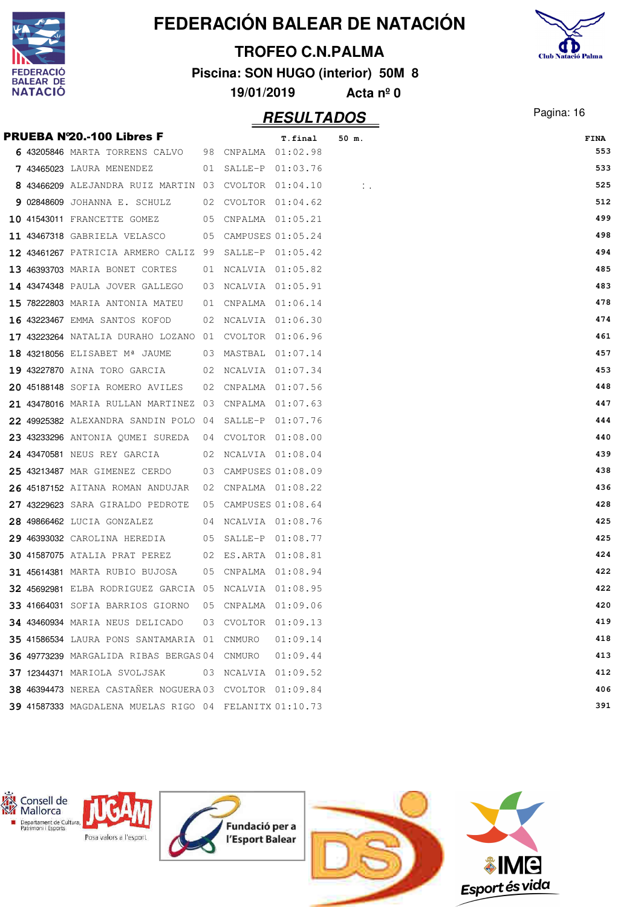

#### **TROFEO C.N.PALMA**

**Piscina: SON HUGO (interior) 50M 8**



**19/01/2019 Acta nº 0**

|  | <b>PRUEBA N'20.-100 Libres F</b>                             |                     | T.final  | 50 m.      | <b>FINA</b> |
|--|--------------------------------------------------------------|---------------------|----------|------------|-------------|
|  | 6 43205846 MARTA TORRENS CALVO 98 CNPALMA 01:02.98           |                     |          |            | 553         |
|  | <b>7 43465023</b> LAURA MENENDEZ                             | 01 SALLE-P 01:03.76 |          |            | 533         |
|  | 8 43466209 ALEJANDRA RUIZ MARTIN 03 CVOLTOR 01:04.10         |                     |          | $\sim 100$ | 525         |
|  | 9 02848609 JOHANNA E. SCHULZ                                 | 02 CVOLTOR 01:04.62 |          |            | 512         |
|  | 10 41543011 FRANCETTE GOMEZ 05 CNPALMA 01:05.21              |                     |          |            | 499         |
|  | 11 43467318 GABRIELA VELASCO 65 CAMPUSES 01:05.24            |                     |          |            | 498         |
|  | 12 43461267 PATRICIA ARMERO CALIZ 99 SALLE-P 01:05.42        |                     |          |            | 494         |
|  | 13 46393703 MARIA BONET CORTES 01 NCALVIA 01:05.82           |                     |          |            | 485         |
|  | <b>14 43474348</b> PAULA JOVER GALLEGO                       | 03 NCALVIA 01:05.91 |          |            | 483         |
|  | 15 78222803 MARIA ANTONIA MATEU                              | 01 CNPALMA 01:06.14 |          |            | 478         |
|  | 16 43223467 EMMA SANTOS KOFOD 02 NCALVIA 01:06.30            |                     |          |            | 474         |
|  | 17 43223264 NATALIA DURAHO LOZANO 01 CVOLTOR 01:06.96        |                     |          |            | 461         |
|  | 18 43218056 ELISABET Mª JAUME 03 MASTBAL 01:07.14            |                     |          |            | 457         |
|  | 19 43227870 AINA TORO GARCIA 02 NCALVIA 01:07.34             |                     |          |            | 453         |
|  | 20 45188148 SOFIA ROMERO AVILES 02 CNPALMA 01:07.56          |                     |          |            | 448         |
|  | 21 43478016 MARIA RULLAN MARTINEZ 03 CNPALMA 01:07.63        |                     |          |            | 447         |
|  | 22 49925382 ALEXANDRA SANDIN POLO 04 SALLE-P 01:07.76        |                     |          |            | 444         |
|  | 23 43233296 ANTONIA QUMEI SUREDA 04 CVOLTOR 01:08.00         |                     |          |            | 440         |
|  | <b>24 43470581</b> NEUS REY GARCIA 62 NCALVIA 01:08.04       |                     |          |            | 439         |
|  | <b>25 43213487</b> MAR GIMENEZ CERDO 03 CAMPUSES 01:08.09    |                     |          |            | 438         |
|  | 26 45187152 AITANA ROMAN ANDUJAR 02 CNPALMA 01:08.22         |                     |          |            | 436         |
|  | 27 43229623 SARA GIRALDO PEDROTE  05 CAMPUSES 01:08.64       |                     |          |            | 428         |
|  | 28 49866462 LUCIA GONZALEZ 04 NCALVIA 01:08.76               |                     |          |            | 425         |
|  | 29 46393032 CAROLINA HEREDIA 05 SALLE-P 01:08.77             |                     |          |            | 425         |
|  | 30 41587075 ATALIA PRAT PEREZ 02 ES.ARTA 01:08.81            |                     |          |            | 424         |
|  | <b>31 45614381 MARTA RUBIO BUJOSA</b>                        | 05 CNPALMA 01:08.94 |          |            | 422         |
|  | <b>32 45692981</b> ELBA RODRIGUEZ GARCIA 05 NCALVIA 01:08.95 |                     |          |            | 422         |
|  | 33 41664031 SOFIA BARRIOS GIORNO 05 CNPALMA 01:09.06         |                     |          |            | 420         |
|  | 34 43460934 MARIA NEUS DELICADO 03 CVOLTOR 01:09.13          |                     |          |            | 419         |
|  | 35 41586534 LAURA PONS SANTAMARIA 01 CNMURO                  |                     | 01:09.14 |            | 418         |
|  | 36 49773239 MARGALIDA RIBAS BERGAS 04 CNMURO                 |                     | 01:09.44 |            | 413         |
|  | <b>37 12344371 MARIOLA SVOLJSAK</b>                          | 03 NCALVIA 01:09.52 |          |            | 412         |
|  | 38 46394473 NEREA CASTAÑER NOGUERA 03 CVOLTOR 01:09.84       |                     |          |            | 406         |
|  | 39 41587333 MAGDALENA MUELAS RIGO 04 FELANITX 01:10.73       |                     |          |            | 391         |
|  |                                                              |                     |          |            |             |

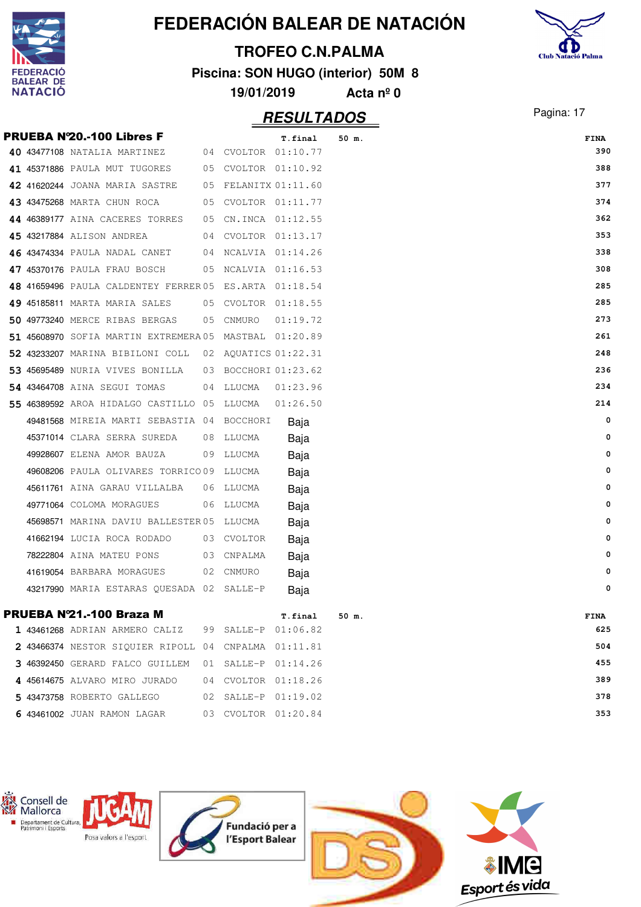

#### **TROFEO C.N.PALMA**

**Piscina: SON HUGO (interior) 50M 8**



**19/01/2019 Acta nº 0**

|  | <b>PRUEBA N'20.-100 Libres F</b>                      |     |            | T.final              | 50 m. | <b>FINA</b> |
|--|-------------------------------------------------------|-----|------------|----------------------|-------|-------------|
|  | 40 43477108 NATALIA MARTINEZ 04 CVOLTOR 01:10.77      |     |            |                      |       | 390         |
|  | 41 45371886 PAULA MUT TUGORES                         |     |            | 05 CVOLTOR 01:10.92  |       | 388         |
|  | 42 41620244 JOANA MARIA SASTRE                        |     |            | 05 FELANITX 01:11.60 |       | 377         |
|  | 43 43475268 MARTA CHUN ROCA                           |     |            | 05 CVOLTOR 01:11.77  |       | 374         |
|  | 44 46389177 AINA CACERES TORRES                       |     |            | 05 CN.INCA 01:12.55  |       | 362         |
|  | 45 43217884 ALISON ANDREA                             |     |            | 04 CVOLTOR 01:13.17  |       | 353         |
|  | 46 43474334 PAULA NADAL CANET                         |     |            | 04 NCALVIA 01:14.26  |       | 338         |
|  | 47 45370176 PAULA FRAU BOSCH 05 NCALVIA 01:16.53      |     |            |                      |       | 308         |
|  | 48 41659496 PAULA CALDENTEY FERRER05 ES.ARTA 01:18.54 |     |            |                      |       | 285         |
|  | 49 45185811 MARTA MARIA SALES 05 CVOLTOR 01:18.55     |     |            |                      |       | 285         |
|  | 50 49773240 MERCE RIBAS BERGAS 05 CNMURO              |     |            | 01:19.72             |       | 273         |
|  | 51 45608970 SOFIA MARTIN EXTREMERA05 MASTBAL 01:20.89 |     |            |                      |       | 261         |
|  | 52 43233207 MARINA BIBILONI COLL 02 AQUATICS 01:22.31 |     |            |                      |       | 248         |
|  | 53 45695489 NURIA VIVES BONILLA                       |     |            | 03 BOCCHORI 01:23.62 |       | 236         |
|  | <b>54 43464708</b> AINA SEGUI TOMAS                   |     | 04 LLUCMA  | 01:23.96             |       | 234         |
|  | 55 46389592 AROA HIDALGO CASTILLO 05 LLUCMA           |     |            | 01:26.50             |       | 214         |
|  | 49481568 MIREIA MARTI SEBASTIA 04 BOCCHORI            |     |            | Baja                 |       | 0           |
|  | 45371014 CLARA SERRA SUREDA                           |     | 08 LLUCMA  | Baja                 |       | 0           |
|  | 49928607 ELENA AMOR BAUZA                             |     | 09 LLUCMA  | Baja                 |       | 0           |
|  | 49608206 PAULA OLIVARES TORRICO 09 LLUCMA             |     |            | Baja                 |       | 0           |
|  | 45611761 AINA GARAU VILLALBA                          |     | 06 LLUCMA  | Baja                 |       | 0           |
|  | 49771064 COLOMA MORAGUES                              |     | 06 LLUCMA  | Baja                 |       | 0           |
|  | 45698571 MARINA DAVIU BALLESTER 05 LLUCMA             |     |            | Baja                 |       | 0           |
|  | 41662194 LUCIA ROCA RODADO                            |     | 03 CVOLTOR | Baja                 |       | 0           |
|  | 78222804 AINA MATEU PONS                              |     | 03 CNPALMA | Baja                 |       | 0           |
|  | 41619054 BARBARA MORAGUES                             |     | 02 CNMURO  | Baja                 |       | 0           |
|  | 43217990 MARIA ESTARAS QUESADA 02 SALLE-P             |     |            | Baja                 |       | 0           |
|  | PRUEBA Nº21.-100 Braza M                              |     |            | T.final              | 50 m. | FINA        |
|  | 1 43461268 ADRIAN ARMERO CALIZ                        |     |            | 99 SALLE-P 01:06.82  |       | 625         |
|  | 2 43466374 NESTOR SIQUIER RIPOLL 04                   |     |            | CNPALMA 01:11.81     |       | 504         |
|  | 3 46392450 GERARD FALCO GUILLEM                       | 01  |            | SALLE-P 01:14.26     |       | 455         |
|  | 4 45614675 ALVARO MIRO JURADO                         | 04  |            | CVOLTOR 01:18.26     |       | 389         |
|  | 5 43473758 ROBERTO GALLEGO                            | 02. |            | SALLE-P 01:19.02     |       | 378         |
|  | 6 43461002 JUAN RAMON LAGAR                           |     |            | 03 CVOLTOR 01:20.84  |       | 353         |

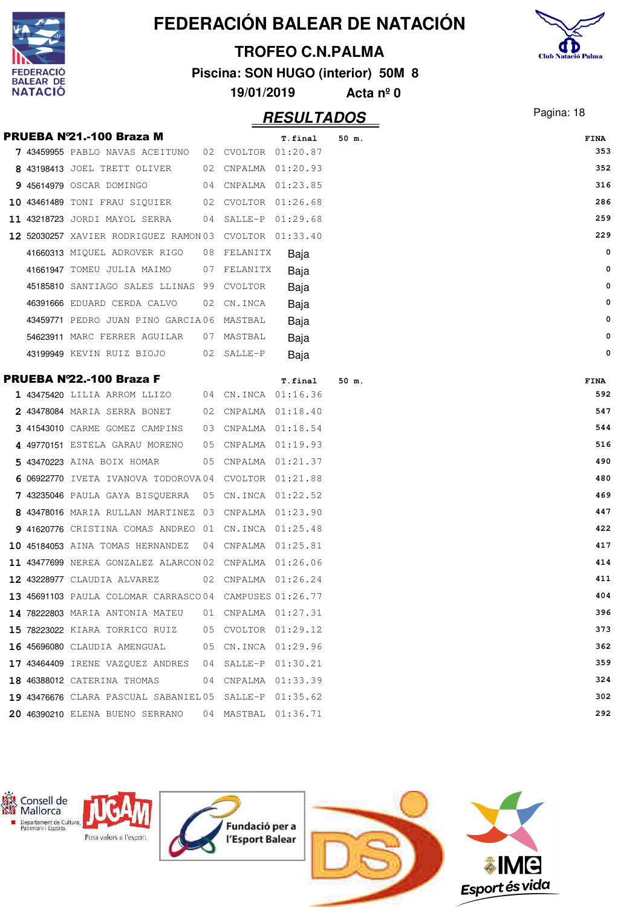|                                    |                                                        |          |          |                         | FEDERACIÓN BALEAR DE NATACIÓN      |                           |
|------------------------------------|--------------------------------------------------------|----------|----------|-------------------------|------------------------------------|---------------------------|
|                                    |                                                        |          |          | <b>TROFEO C.N.PALMA</b> |                                    |                           |
| <b>FEDERACIO</b>                   |                                                        |          |          |                         | Piscina: SON HUGO (interior) 50M 8 | <b>Club Natació Palma</b> |
| <b>BALEAR DE</b><br><b>NATACIO</b> |                                                        |          |          | 19/01/2019              | Acta $n^{\circ}$ 0                 |                           |
|                                    |                                                        |          |          | <b>RESULTADOS</b>       |                                    | Pagina: 18                |
|                                    | PRUEBA Nº21.-100 Braza M                               |          |          | T.final                 | 50 m.                              | <b>FINA</b>               |
|                                    | 7 43459955 PABLO NAVAS ACEITUNO<br>02                  |          |          | CVOLTOR 01:20.87        |                                    | 353                       |
|                                    | 8 43198413 JOEL TRETT OLIVER<br>02                     |          |          | CNPALMA 01:20.93        |                                    | 352                       |
|                                    | 9 45614979 OSCAR DOMINGO                               |          |          | 04 CNPALMA 01:23.85     |                                    | 316                       |
|                                    | 10 43461489 TONI FRAU SIQUIER                          |          |          | 02 CVOLTOR 01:26.68     |                                    | 286                       |
|                                    | 11 43218723 JORDI MAYOL SERRA<br>04                    | SALLE-P  |          | 01:29.68                |                                    | 259                       |
|                                    | 12 52030257 XAVIER RODRIGUEZ RAMON 03                  |          |          | CVOLTOR 01:33.40        |                                    | 229                       |
|                                    | 41660313 MIQUEL ADROVER RIGO<br>08                     | FELANITX |          | Baja                    |                                    | 0                         |
|                                    | 41661947 TOMEU JULIA MAIMO<br>07                       |          | FELANITX | Baja                    |                                    | 0                         |
|                                    | 45185810 SANTIAGO SALES LLINAS<br>- 99                 | CVOLTOR  |          | Baja                    |                                    | 0                         |
|                                    | 46391666 EDUARD CERDA CALVO<br>02                      | CN.INCA  |          | Baja                    |                                    | 0                         |
|                                    | 43459771 PEDRO JUAN PINO GARCIA06                      | MASTBAL  |          | Baja                    |                                    | 0                         |
|                                    | 54623911 MARC FERRER AGUILAR<br>07                     | MASTBAL  |          | Baja                    |                                    | 0                         |
|                                    | 43199949 KEVIN RUIZ BIOJO<br>02                        | SALLE-P  |          | Baja                    |                                    | 0                         |
|                                    | PRUEBA Nº22.-100 Braza F                               |          |          | T.final                 | 50 m.                              | <b>FINA</b>               |
|                                    | 1 43475420 LILIA ARROM LLIZO                           |          |          | 04 CN.INCA 01:16.36     |                                    | 592                       |
|                                    | 2 43478084 MARIA SERRA BONET<br>02                     |          |          | CNPALMA 01:18.40        |                                    | 547                       |
|                                    | 3 41543010 CARME GOMEZ CAMPINS<br>03                   |          |          | CNPALMA 01:18.54        |                                    | 544                       |
|                                    | 49770151 ESTELA GARAU MORENO                           |          |          | 05 CNPALMA 01:19.93     |                                    | 516                       |
|                                    | 5 43470223 AINA BOIX HOMAR<br>05                       |          |          | CNPALMA 01:21.37        |                                    | 490                       |
|                                    | 6 06922770 IVETA IVANOVA TODOROVA04 CVOLTOR 01:21.88   |          |          |                         |                                    | 480                       |
|                                    | 7 43235046 PAULA GAYA BISQUERRA 05 CN.INCA 01:22.52    |          |          |                         |                                    | 469                       |
|                                    | 8 43478016 MARIA RULLAN MARTINEZ 03 CNPALMA 01:23.90   |          |          |                         |                                    | 447                       |
|                                    | 9 41620776 CRISTINA COMAS ANDREO 01 CN.INCA 01:25.48   |          |          |                         |                                    | 422                       |
|                                    | 10 45184053 AINA TOMAS HERNANDEZ 04 CNPALMA 01:25.81   |          |          |                         |                                    | 417                       |
|                                    | 11 43477699 NEREA GONZALEZ ALARCON 02 CNPALMA 01:26.06 |          |          |                         |                                    | 414                       |
|                                    | 12 43228977 CLAUDIA ALVAREZ                            |          |          | 02 CNPALMA 01:26.24     |                                    | 411                       |
|                                    | 13 45691103 PAULA COLOMAR CARRASCO04 CAMPUSES 01:26.77 |          |          |                         |                                    | 404                       |
|                                    | 14 78222803 MARIA ANTONIA MATEU                        |          |          | 01 CNPALMA 01:27.31     |                                    | 396                       |
|                                    | 15 78223022 KIARA TORRICO RUIZ                         |          |          | 05 CVOLTOR 01:29.12     |                                    | 373                       |
|                                    | 16 45696080 CLAUDIA AMENGUAL                           |          |          | 05 CN.INCA 01:29.96     |                                    | 362                       |
|                                    | 17 43464409 IRENE VAZQUEZ ANDRES 04 SALLE-P 01:30.21   |          |          |                         |                                    | 359                       |
|                                    | 18 46388012 CATERINA THOMAS                            |          |          | 04 CNPALMA 01:33.39     |                                    | 324                       |
|                                    | 19 43476676 CLARA PASCUAL SABANIEL05 SALLE-P 01:35.62  |          |          |                         |                                    | 302                       |
|                                    | 20 46390210 ELENA BUENO SERRANO                        |          |          | 04 MASTBAL 01:36.71     |                                    | 292                       |
|                                    |                                                        |          |          |                         |                                    |                           |

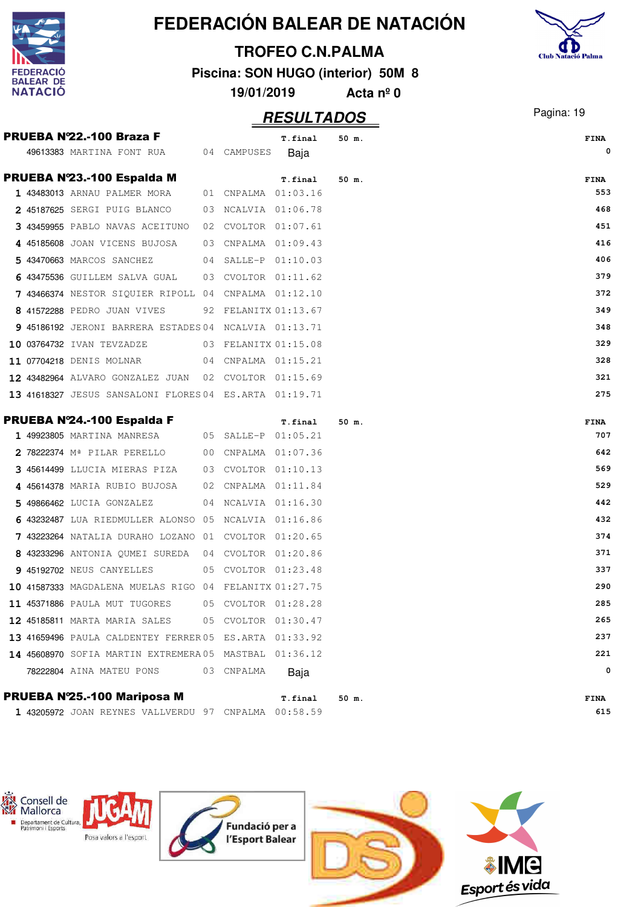|                                      |                                                          |    |                      |                                    |                    | FEDERACIÓN BALEAR DE NATACIÓN |                           |
|--------------------------------------|----------------------------------------------------------|----|----------------------|------------------------------------|--------------------|-------------------------------|---------------------------|
|                                      |                                                          |    |                      | <b>TROFEO C.N.PALMA</b>            |                    |                               | <b>Club Natació Palma</b> |
| <b>FEDERACIO</b><br><b>BALEAR DE</b> |                                                          |    |                      | Piscina: SON HUGO (interior) 50M 8 |                    |                               |                           |
| <b>NATACIO</b>                       |                                                          |    | 19/01/2019           |                                    | Acta $n^{\circ}$ 0 |                               |                           |
|                                      |                                                          |    |                      | <b>RESULTADOS</b>                  |                    |                               | Pagina: 19                |
|                                      | PRUEBA Nº22.-100 Braza F                                 |    |                      | T.final                            | 50 m.              |                               | <b>FINA</b>               |
|                                      | 49613383 MARTINA FONT RUA                                |    | 04 CAMPUSES          | Baja                               |                    |                               | 0                         |
|                                      | PRUEBA Nº23.-100 Espalda M                               |    |                      | T.final                            | 50 m.              |                               | FINA                      |
|                                      | 1 43483013 ARNAU PALMER MORA                             |    | 01 CNPALMA 01:03.16  |                                    |                    |                               | 553                       |
|                                      | 2 45187625 SERGI PUIG BLANCO                             | 03 | NCALVIA 01:06.78     |                                    |                    |                               | 468                       |
|                                      | 3 43459955 PABLO NAVAS ACEITUNO                          | 02 | CVOLTOR 01:07.61     |                                    |                    |                               | 451                       |
|                                      | 4 45185608 JOAN VICENS BUJOSA                            | 03 | CNPALMA 01:09.43     |                                    |                    |                               | 416                       |
|                                      | 5 43470663 MARCOS SANCHEZ                                |    | 04 SALLE-P 01:10.03  |                                    |                    |                               | 406                       |
|                                      | 6 43475536 GUILLEM SALVA GUAL                            |    | 03 CVOLTOR 01:11.62  |                                    |                    |                               | 379                       |
|                                      | 7 43466374 NESTOR SIQUIER RIPOLL 04 CNPALMA 01:12.10     |    |                      |                                    |                    |                               | 372                       |
|                                      | 8 41572288 PEDRO JUAN VIVES                              |    | 92 FELANITX 01:13.67 |                                    |                    |                               | 349                       |
|                                      | 9 45186192 JERONI BARRERA ESTADES 04 NCALVIA 01:13.71    |    |                      |                                    |                    |                               | 348                       |
|                                      | 10 03764732 IVAN TEVZADZE                                |    | 03 FELANITX 01:15.08 |                                    |                    |                               | 329                       |
|                                      | 11 07704218 DENIS MOLNAR                                 |    | 04 CNPALMA 01:15.21  |                                    |                    |                               | 328                       |
|                                      | 12 43482964 ALVARO GONZALEZ JUAN                         |    | 02 CVOLTOR 01:15.69  |                                    |                    |                               | 321                       |
|                                      | 13 41618327 JESUS SANSALONI FLORES 04 ES.ARTA 01:19.71   |    |                      |                                    |                    |                               | 275                       |
|                                      |                                                          |    |                      |                                    |                    |                               |                           |
|                                      | PRUEBA Nº24.-100 Espalda F<br>1 49923805 MARTINA MANRESA |    | 05 SALLE-P 01:05.21  | T.final                            | 50 m.              |                               | <b>FINA</b><br>707        |
|                                      | 2 78222374 Mª PILAR PERELLO                              |    | 00 CNPALMA 01:07.36  |                                    |                    |                               | 642                       |
|                                      | 3 45614499 LLUCIA MIERAS PIZA                            |    | 03 CVOLTOR 01:10.13  |                                    |                    |                               | 569                       |
|                                      | 4 45614378 MARIA RUBIO BUJOSA 02 CNPALMA 01:11.84        |    |                      |                                    |                    |                               | 529                       |
|                                      | 5 49866462 LUCIA GONZALEZ                                |    | 04 NCALVIA 01:16.30  |                                    |                    |                               | 442                       |
|                                      | 6 43232487 LUA RIEDMULLER ALONSO 05 NCALVIA 01:16.86     |    |                      |                                    |                    |                               | 432                       |
|                                      | 7 43223264 NATALIA DURAHO LOZANO 01 CVOLTOR 01:20.65     |    |                      |                                    |                    |                               | 374                       |
|                                      | 8 43233296 ANTONIA OUMEI SUREDA 04 CVOLTOR 01:20.86      |    |                      |                                    |                    |                               | 371                       |
|                                      | <b>9 45192702 NEUS CANYELLES</b>                         |    | 05 CVOLTOR 01:23.48  |                                    |                    |                               | 337                       |
|                                      | 10 41587333 MAGDALENA MUELAS RIGO 04 FELANITX 01:27.75   |    |                      |                                    |                    |                               | 290                       |
|                                      | <b>11 45371886</b> PAULA MUT TUGORES                     |    | 05 CVOLTOR 01:28.28  |                                    |                    |                               | 285                       |
|                                      | 12 45185811 MARTA MARIA SALES                            |    | 05 CVOLTOR 01:30.47  |                                    |                    |                               | 265                       |
|                                      | 13 41659496 PAULA CALDENTEY FERRER 05 ES.ARTA 01:33.92   |    |                      |                                    |                    |                               | 237                       |
|                                      | 14 45608970 SOFIA MARTIN EXTREMERA05 MASTBAL 01:36.12    |    |                      |                                    |                    |                               | 221                       |
|                                      | 78222804 AINA MATEU PONS                                 |    | 03 CNPALMA           | Baja                               |                    |                               | 0                         |
|                                      |                                                          |    |                      |                                    |                    |                               |                           |
|                                      | PRUEBA Nº25.-100 Mariposa M                              |    |                      | T.final                            | 50 m.              |                               | FINA                      |
|                                      | 1 43205972 JOAN REYNES VALLVERDU 97 CNPALMA 00:58.59     |    |                      |                                    |                    |                               | 615                       |

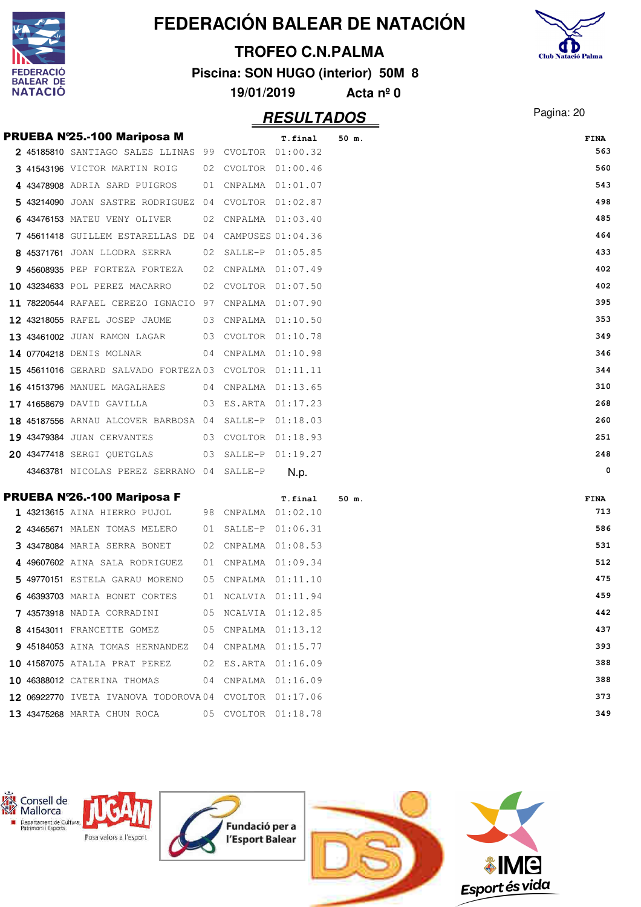|                           |                                                       |    |            |                         | FEDERACIÓN BALEAR DE NATACIÓN      |                           |
|---------------------------|-------------------------------------------------------|----|------------|-------------------------|------------------------------------|---------------------------|
|                           |                                                       |    |            | <b>TROFEO C.N.PALMA</b> |                                    |                           |
| <b>DERACIO</b>            |                                                       |    |            |                         | Piscina: SON HUGO (interior) 50M 8 | <b>Club Natació Palma</b> |
| LEAR DE<br><b>NATACIO</b> |                                                       |    | 19/01/2019 |                         | Acta $n^{\circ}$ 0                 |                           |
|                           |                                                       |    |            | <b>RESULTADOS</b>       |                                    | Pagina: 20                |
|                           | PRUEBA Nº25.-100 Mariposa M                           |    |            | T.final                 | $50$ m.                            | FINA                      |
|                           | 2 45185810 SANTIAGO SALES LLINAS 99 CVOLTOR 01:00.32  |    |            |                         |                                    | 563                       |
|                           | 3 41543196 VICTOR MARTIN ROIG                         |    |            | 02 CVOLTOR 01:00.46     |                                    | 560                       |
|                           | 4 43478908 ADRIA SARD PUIGROS                         | 01 |            | CNPALMA 01:01.07        |                                    | 543                       |
|                           | 5 43214090 JOAN SASTRE RODRIGUEZ 04                   |    |            | CVOLTOR 01:02.87        |                                    | 498                       |
|                           | 6 43476153 MATEU VENY OLIVER                          | 02 |            | CNPALMA 01:03.40        |                                    | 485                       |
|                           | 7 45611418 GUILLEM ESTARELLAS DE 04 CAMPUSES 01:04.36 |    |            |                         |                                    | 464                       |
|                           | 8 45371761 JOAN LLODRA SERRA                          |    |            | 02 SALLE-P 01:05.85     |                                    | 433                       |
|                           | 9 45608935 PEP FORTEZA FORTEZA                        | 02 |            | CNPALMA 01:07.49        |                                    | 402                       |
|                           | 10 43234633 POL PEREZ MACARRO                         | 02 |            | CVOLTOR 01:07.50        |                                    | 402                       |
|                           | 11 78220544 RAFAEL CEREZO IGNACIO 97                  |    |            | CNPALMA 01:07.90        |                                    | 395                       |
|                           | 12 43218055 RAFEL JOSEP JAUME                         | 03 |            | CNPALMA 01:10.50        |                                    | 353                       |
|                           | 13 43461002 JUAN RAMON LAGAR                          |    |            | 03 CVOLTOR 01:10.78     |                                    | 349                       |
|                           | 14 07704218 DENIS MOLNAR                              | 04 |            | CNPALMA 01:10.98        |                                    | 346                       |
|                           | 15 45611016 GERARD SALVADO FORTEZA03 CVOLTOR 01:11.11 |    |            |                         |                                    | 344                       |
|                           | <b>16 41513796 MANUEL MAGALHAES</b>                   | 04 |            | CNPALMA 01:13.65        |                                    | 310                       |
|                           | 17 41658679 DAVID GAVILLA                             | 03 |            | ES.ARTA 01:17.23        |                                    | 268                       |
|                           | 18 45187556 ARNAU ALCOVER BARBOSA 04 SALLE-P          |    |            | 01:18.03                |                                    | 260                       |
|                           | <b>19 43479384 JUAN CERVANTES</b>                     | 03 |            | CVOLTOR 01:18.93        |                                    | 251                       |
|                           | <b>20 43477418 SERGI OUETGLAS</b>                     | 03 | SALLE-P    | 01:19.27                |                                    | 248                       |
|                           | 43463781 NICOLAS PEREZ SERRANO 04                     |    | SALLE-P    | N.p.                    |                                    | 0                         |
|                           | PRUEBA Nº26.-100 Mariposa F                           |    |            | T.final                 | 50 m.                              | FINA                      |
|                           | <b>1 43213615</b> AINA HIERRO PUJOL                   |    |            | 98 CNPALMA 01:02.10     |                                    | 713                       |
|                           | 2 43465671 MALEN TOMAS MELERO                         |    |            | 01 SALLE-P 01:06.31     |                                    | 586                       |
|                           | 3 43478084 MARIA SERRA BONET                          |    |            | 02 CNPALMA 01:08.53     |                                    | 531                       |
|                           | 4 49607602 AINA SALA RODRIGUEZ                        |    |            | 01 CNPALMA 01:09.34     |                                    | 512                       |
|                           | 5 49770151 ESTELA GARAU MORENO                        |    |            | 05 CNPALMA 01:11.10     |                                    | 475                       |
|                           | 6 46393703 MARIA BONET CORTES                         |    |            | 01 NCALVIA 01:11.94     |                                    | 459                       |
|                           | 7 43573918 NADIA CORRADINI                            |    |            | 05 NCALVIA 01:12.85     |                                    | 442                       |
|                           | 8 41543011 FRANCETTE GOMEZ                            |    |            | 05 CNPALMA 01:13.12     |                                    | 437                       |
|                           | 9 45184053 AINA TOMAS HERNANDEZ                       |    |            | 04 CNPALMA 01:15.77     |                                    | 393                       |
|                           | 10 41587075 ATALIA PRAT PEREZ                         |    |            | 02 ES.ARTA 01:16.09     |                                    | 388                       |
|                           | 10 46388012 CATERINA THOMAS                           |    |            | 04 CNPALMA 01:16.09     |                                    | 388                       |
|                           | 12 06922770 IVETA IVANOVA TODOROVA04 CVOLTOR 01:17.06 |    |            |                         |                                    | 373                       |
|                           | 13 43475268 MARTA CHUN ROCA                           |    |            | 05 CVOLTOR 01:18.78     |                                    | 349                       |

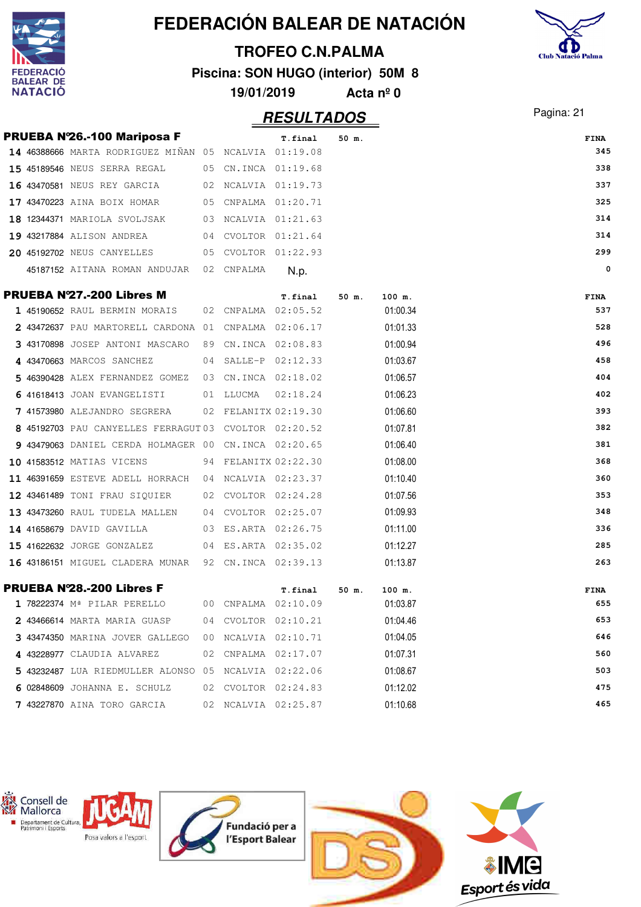|   |                    |                                                       |    |                     |                                    |                    | FEDERACIÓN BALEAR DE NATACIÓN |                           |
|---|--------------------|-------------------------------------------------------|----|---------------------|------------------------------------|--------------------|-------------------------------|---------------------------|
|   |                    |                                                       |    |                     | <b>TROFEO C.N.PALMA</b>            |                    |                               |                           |
|   | ERACIO             |                                                       |    |                     | Piscina: SON HUGO (interior) 50M 8 |                    |                               | <b>Club Natació Palma</b> |
|   | EAR DE.<br>NATACIÓ |                                                       |    | 19/01/2019          |                                    | Acta $n^{\circ}$ 0 |                               |                           |
|   |                    |                                                       |    |                     |                                    |                    |                               |                           |
|   |                    |                                                       |    |                     | <b>RESULTADOS</b>                  |                    |                               | Pagina: 21                |
|   |                    | PRUEBA Nº26.-100 Mariposa F                           |    |                     | T.final                            | 50 m.              |                               | <b>FINA</b>               |
|   |                    | 14 46388666 MARTA RODRIGUEZ MIÑAN 05 NCALVIA 01:19.08 |    |                     |                                    |                    |                               | 345                       |
|   |                    | 15 45189546 NEUS SERRA REGAL                          | 05 | CN.INCA 01:19.68    |                                    |                    |                               | 338                       |
|   |                    | 16 43470581 NEUS REY GARCIA                           | 02 | NCALVIA 01:19.73    |                                    |                    |                               | 337                       |
|   |                    | 17 43470223 AINA BOIX HOMAR                           | 05 | CNPALMA 01:20.71    |                                    |                    |                               | 325                       |
|   |                    | 18 12344371 MARIOLA SVOLJSAK                          | 03 | NCALVIA 01:21.63    |                                    |                    |                               | 314                       |
|   |                    | 19 43217884 ALISON ANDREA                             | 04 | CVOLTOR 01:21.64    |                                    |                    |                               | 314                       |
|   |                    | <b>20 45192702 NEUS CANYELLES</b>                     | 05 | CVOLTOR 01:22.93    |                                    |                    |                               | 299                       |
|   |                    | 45187152 AITANA ROMAN ANDUJAR                         | 02 | CNPALMA             | N.p.                               |                    |                               | 0                         |
|   |                    | PRUEBA Nº27.-200 Libres M                             |    |                     | T.final                            | 50 m.              | 100 m.                        | <b>FINA</b>               |
|   |                    | 1 45190652 RAUL BERMIN MORAIS                         | 02 | CNPALMA             | 02:05.52                           |                    | 01:00.34                      | 537                       |
|   |                    | 2 43472637 PAU MARTORELL CARDONA 01                   |    | CNPALMA 02:06.17    |                                    |                    | 01:01.33                      | 528                       |
|   |                    | 43170898 JOSEP ANTONI MASCARO                         | 89 | CN.INCA 02:08.83    |                                    |                    | 01:00.94                      | 496                       |
|   |                    | 43470663 MARCOS SANCHEZ                               | 04 | SALLE-P             | 02:12.33                           |                    | 01:03.67                      | 458                       |
| 5 |                    | 46390428 ALEX FERNANDEZ GOMEZ                         | 03 | CN.INCA 02:18.02    |                                    |                    | 01:06.57                      | 404                       |
|   |                    | 41618413 JOAN EVANGELISTI                             | 01 | LLUCMA              | 02:18.24                           |                    | 01:06.23                      | 402                       |
|   |                    | 7 41573980 ALEJANDRO SEGRERA                          | 02 | FELANITX 02:19.30   |                                    |                    | 01:06.60                      | 393                       |
|   |                    | 8 45192703 PAU CANYELLES FERRAGUT 03                  |    | CVOLTOR 02:20.52    |                                    |                    | 01:07.81                      | 382                       |
|   |                    | 9 43479063 DANIEL CERDA HOLMAGER 00                   |    | CN.INCA 02:20.65    |                                    |                    | 01:06.40                      | 381                       |
|   |                    | 10 41583512 MATIAS VICENS                             | 94 | FELANITX 02:22.30   |                                    |                    | 01:08.00                      | 368                       |
|   |                    | 11 46391659 ESTEVE ADELL HORRACH                      |    | 04 NCALVIA 02:23.37 |                                    |                    | 01:10.40                      | 360                       |
|   |                    | 12 43461489 TONI FRAU SIQUIER                         |    | 02 CVOLTOR 02:24.28 |                                    |                    | 01:07.56                      | 353                       |
|   |                    | 13 43473260 RAUL TUDELA MALLEN 04 CVOLTOR 02:25.07    |    |                     |                                    |                    | 01:09.93                      | 348                       |
|   |                    | <b>14 41658679</b> DAVID GAVILLA                      |    | 03 ES.ARTA 02:26.75 |                                    |                    | 01:11.00                      | 336                       |
|   |                    | 15 41622632 JORGE GONZALEZ                            |    | 04 ES.ARTA 02:35.02 |                                    |                    | 01:12.27                      | 285                       |
|   |                    | 16 43186151 MIGUEL CLADERA MUNAR 92 CN.INCA 02:39.13  |    |                     |                                    |                    | 01:13.87                      | 263                       |
|   |                    |                                                       |    |                     |                                    |                    |                               |                           |
|   |                    | <b>PRUEBA Nº28.-200 Libres F</b>                      |    |                     | T.final                            | 50 m.              | 100 m.                        | FINA                      |
|   |                    | 1 78222374 Mª PILAR PERELLO                           |    | 00 CNPALMA 02:10.09 |                                    |                    | 01:03.87                      | 655                       |
|   |                    | 2 43466614 MARTA MARIA GUASP                          |    | 04 CVOLTOR 02:10.21 |                                    |                    | 01:04.46                      | 653                       |
|   |                    | 3 43474350 MARINA JOVER GALLEGO                       |    | 00 NCALVIA 02:10.71 |                                    |                    | 01:04.05                      | 646                       |
|   |                    | 4 43228977 CLAUDIA ALVAREZ                            |    | 02 CNPALMA 02:17.07 |                                    |                    | 01:07.31                      | 560                       |
|   |                    | 5 43232487 LUA RIEDMULLER ALONSO 05 NCALVIA 02:22.06  |    |                     |                                    |                    | 01:08.67                      | 503                       |
|   |                    | 6 02848609 JOHANNA E. SCHULZ                          |    | 02 CVOLTOR 02:24.83 |                                    |                    | 01:12.02                      | 475                       |
|   |                    | 7 43227870 AINA TORO GARCIA                           |    | 02 NCALVIA 02:25.87 |                                    |                    | 01:10.68                      | 465                       |

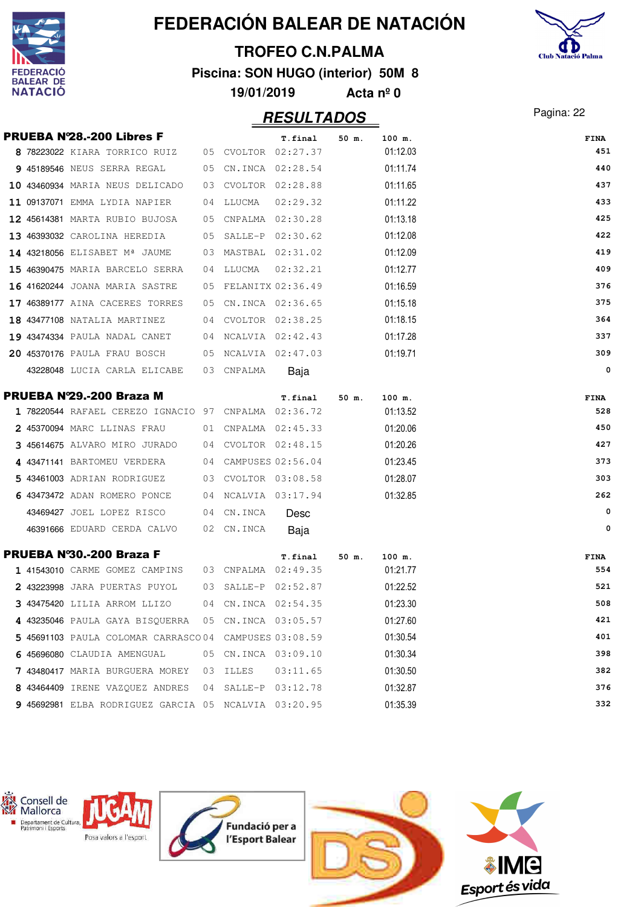

#### **TROFEO C.N.PALMA**

**Piscina: SON HUGO (interior) 50M 8**



**19/01/2019 Acta nº 0**

|  | <b>PRUEBA Nº28.-200 Libres F</b>                                     |      |           | T.final              | 50 m. | 100 m.   | FINA |
|--|----------------------------------------------------------------------|------|-----------|----------------------|-------|----------|------|
|  | 8 78223022 KIARA TORRICO RUIZ 05 CVOLTOR 02:27.37                    |      |           |                      |       | 01:12.03 | 451  |
|  | 9 45189546 NEUS SERRA REGAL 05 CN.INCA 02:28.54                      |      |           |                      |       | 01:11.74 | 440  |
|  | 10 43460934 MARIA NEUS DELICADO                                      |      |           | 03 CVOLTOR 02:28.88  |       | 01:11.65 | 437  |
|  | 11 09137071 EMMA LYDIA NAPIER                                        |      | 04 LLUCMA | 02:29.32             |       | 01:11.22 | 433  |
|  | <b>12 45614381</b> MARTA RUBIO BUJOSA                                |      |           | 05 CNPALMA 02:30.28  |       | 01:13.18 | 425  |
|  | 13 46393032 CAROLINA HEREDIA 05 SALLE-P 02:30.62                     |      |           |                      |       | 01:12.08 | 422  |
|  | <b>14 43218056</b> ELISABET M <sup>ª</sup> JAUME 03 MASTBAL 02:31.02 |      |           |                      |       | 01:12.09 | 419  |
|  | <b>15 46390475</b> MARIA BARCELO SERRA                               |      | 04 LLUCMA | 02:32.21             |       | 01:12.77 | 409  |
|  | <b>16 41620244</b> JOANA MARIA SASTRE                                |      |           | 05 FELANITX 02:36.49 |       | 01:16.59 | 376  |
|  | 17 46389177 AINA CACERES TORRES                                      |      |           | 05 CN.INCA 02:36.65  |       | 01:15.18 | 375  |
|  | <b>18 43477108</b> NATALIA MARTINEZ 04 CVOLTOR 02:38.25              |      |           |                      |       | 01:18.15 | 364  |
|  | 19 43474334 PAULA NADAL CANET 04 NCALVIA 02:42.43                    |      |           |                      |       | 01:17.28 | 337  |
|  | 20 45370176 PAULA FRAU BOSCH 05 NCALVIA 02:47.03                     |      |           |                      |       | 01:19.71 | 309  |
|  | 43228048 LUCIA CARLA ELICABE 03 CNPALMA                              |      |           | Baja                 |       |          | 0    |
|  | PRUEBA N'29.-200 Braza M                                             |      |           | T.final              | 50 m. | 100 m.   | FINA |
|  | 1 78220544 RAFAEL CEREZO IGNACIO 97 CNPALMA 02:36.72                 |      |           |                      |       | 01:13.52 | 528  |
|  | 2 45370094 MARC LLINAS FRAU 61 CNPALMA 02:45.33                      |      |           |                      |       | 01:20.06 | 450  |
|  | 3 45614675 ALVARO MIRO JURADO 04 CVOLTOR 02:48.15                    |      |           |                      |       | 01:20.26 | 427  |
|  | 4 43471141 BARTOMEU VERDERA 04 CAMPUSES 02:56.04                     |      |           |                      |       | 01:23.45 | 373  |
|  | 5 43461003 ADRIAN RODRIGUEZ 03 CVOLTOR 03:08.58                      |      |           |                      |       | 01:28.07 | 303  |
|  | 6 43473472 ADAN ROMERO PONCE $\qquad \qquad$ 04 NCALVIA 03:17.94     |      |           |                      |       | 01:32.85 | 262  |
|  | 43469427 JOEL LOPEZ RISCO 04 CN.INCA                                 |      |           | Desc                 |       |          | 0    |
|  | 46391666 EDUARD CERDA CALVO 02 CN.INCA                               |      |           | Baja                 |       |          | 0    |
|  | PRUEBA Nº30.-200 Braza F                                             |      |           | T.final              | 50 m. | 100 m.   | FINA |
|  | <b>1 41543010</b> CARME GOMEZ CAMPINS                                |      |           | 03 CNPALMA 02:49.35  |       | 01:21.77 | 554  |
|  | 2 43223998 JARA PUERTAS PUYOL                                        |      |           | 03 SALLE-P 02:52.87  |       | 01:22.52 | 521  |
|  | 3 43475420 LILIA ARROM LLIZO                                         |      |           | 04 CN.INCA 02:54.35  |       | 01:23.30 | 508  |
|  | 4 43235046 PAULA GAYA BISOUERRA 05 CN.INCA 03:05.57                  |      |           |                      |       | 01:27.60 | 421  |
|  | 5 45691103 PAULA COLOMAR CARRASCO04 CAMPUSES 03:08.59                |      |           |                      |       | 01:30.54 | 401  |
|  | 6 45696080 CLAUDIA AMENGUAL                                          |      |           | 05 CN.INCA 03:09.10  |       | 01:30.34 | 398  |
|  | 7 43480417 MARIA BURGUERA MOREY                                      | - 03 | ILLES     | 03:11.65             |       | 01:30.50 | 382  |
|  | 8 43464409 IRENE VAZQUEZ ANDRES                                      | 04   |           | SALLE-P 03:12.78     |       | 01:32.87 | 376  |
|  | 9 45692981 ELBA RODRIGUEZ GARCIA 05 NCALVIA 03:20.95                 |      |           |                      |       | 01:35.39 | 332  |

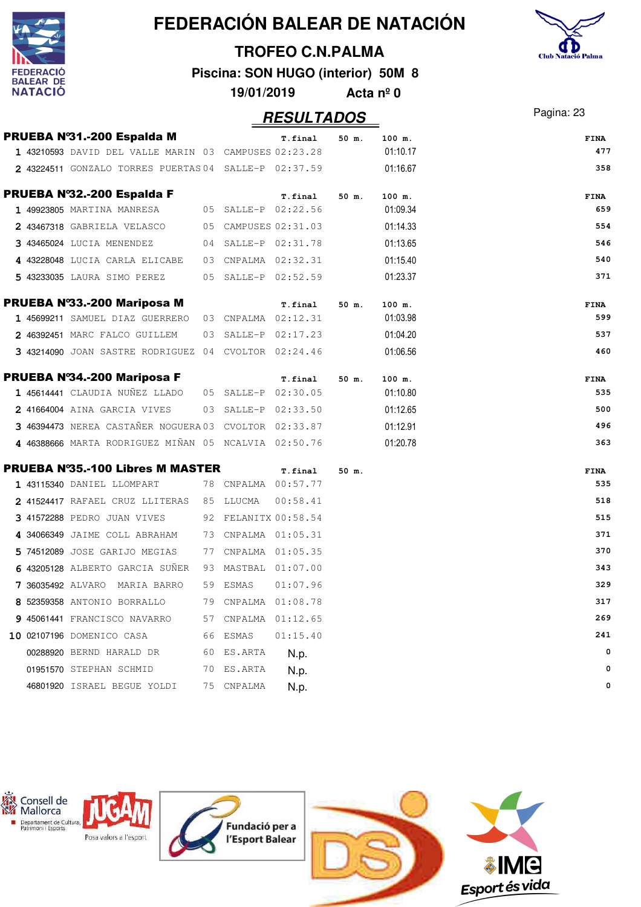

# Club Natació Palma

#### **TROFEO C.N.PALMA**

**Piscina: SON HUGO (interior) 50M 8**

| 19/01/2019 | Acta $n^{\circ}$ 0 |
|------------|--------------------|
|------------|--------------------|

## Pagina: 23 **RESULTADOS**

| PRUEBA Nº31.-200 Espalda M                            |                     | T.final              | 50 m. | 100 m.   | <b>FINA</b>        |
|-------------------------------------------------------|---------------------|----------------------|-------|----------|--------------------|
| 1 43210593 DAVID DEL VALLE MARIN 03 CAMPUSES 02:23.28 |                     |                      |       | 01:10.17 | 477                |
| 2 43224511 GONZALO TORRES PUERTAS 04 SALLE-P 02:37.59 |                     |                      |       | 01:16.67 | 358                |
| PRUEBA Nº32.-200 Espalda F                            |                     | T.final              | 50 m. | 100 m.   | <b>FINA</b>        |
| 1 49923805 MARTINA MANRESA 05 SALLE-P 02:22.56        |                     |                      |       | 01:09.34 | 659                |
| 2 43467318 GABRIELA VELASCO                           |                     | 05 CAMPUSES 02:31.03 |       | 01:14.33 | 554                |
| 3 43465024 LUCIA MENENDEZ                             |                     | 04 SALLE-P 02:31.78  |       | 01:13.65 | 546                |
| 4 43228048 LUCIA CARLA ELICABE                        |                     | 03 CNPALMA 02:32.31  |       | 01:15.40 | 540                |
| 5 43233035 LAURA SIMO PEREZ                           |                     | 05 SALLE-P 02:52.59  |       | 01:23.37 | 371                |
| PRUEBA Nº33.-200 Mariposa M                           |                     | T.final              | 50 m. | 100 m.   | <b>FINA</b>        |
| 1 45699211 SAMUEL DIAZ GUERRERO 03 CNPALMA 02:12.31   |                     |                      |       | 01:03.98 | 599                |
| 2 46392451 MARC FALCO GUILLEM                         |                     | 03 SALLE-P 02:17.23  |       | 01:04.20 | 537                |
| 3 43214090 JOAN SASTRE RODRIGUEZ 04 CVOLTOR 02:24.46  |                     |                      |       | 01:06.56 | 460                |
| PRUEBA Nº34.-200 Mariposa F                           |                     | T.final              | 50 m. | 100 m.   | <b>FINA</b>        |
| 1 45614441 CLAUDIA NUÑEZ LLADO 05 SALLE-P 02:30.05    |                     |                      |       | 01:10.80 | 535                |
| 2 41664004 AINA GARCIA VIVES                          |                     | 03 SALLE-P 02:33.50  |       | 01:12.65 | 500                |
| 3 46394473 NEREA CASTAÑER NOGUERA 03 CVOLTOR 02:33.87 |                     |                      |       | 01:12.91 | 496                |
| 4 46388666 MARTA RODRIGUEZ MIÑAN 05 NCALVIA 02:50.76  |                     |                      |       | 01:20.78 | 363                |
| <b>PRUEBA Nº35.-100 Libres M MASTER</b>               |                     | T.final              | 50 m. |          | <b>FINA</b>        |
| 1 43115340 DANIEL LLOMPART                            | 78 CNPALMA 00:57.77 |                      |       |          | 535                |
| 2 41524417 RAFAEL CRUZ LLITERAS 85 LLUCMA             |                     | 00:58.41             |       |          | 518                |
| 3 41572288 PEDRO JUAN VIVES 92 FELANITX 00:58.54      |                     |                      |       |          | 515                |
| 4 34066349 JAIME COLL ABRAHAM 73 CNPALMA 01:05.31     |                     |                      |       |          | 371                |
| 5 74512089 JOSE GARIJO MEGIAS                         | 77 CNPALMA 01:05.35 |                      |       |          | 370                |
| 6 43205128 ALBERTO GARCIA SUÑER                       | 93 MASTBAL 01:07.00 |                      |       |          | 343                |
| 7 36035492 ALVARO MARIA BARRO                         | 59 ESMAS            | 01:07.96             |       |          | 329                |
| 8 52359358 ANTONIO BORRALLO                           | 79 CNPALMA 01:08.78 |                      |       |          | 317                |
| 9 45061441 FRANCISCO NAVARRO                          | 57 CNPALMA 01:12.65 |                      |       |          | 269                |
| 10 02107196 DOMENICO CASA                             | 66 ESMAS            | 01:15.40             |       |          | 241                |
| 00288920 BERND HARALD DR                              | 60 ES.ARTA          | N.p.                 |       |          | $\mathbf 0$        |
| 01951570 STEPHAN SCHMID                               | 70 ES.ARTA          | N.p.                 |       |          | $\mathbf 0$        |
| 46801920 ISRAEL BEGUE YOLDI                           | 75 CNPALMA          | N.p.                 |       |          | $\pmb{\mathsf{0}}$ |